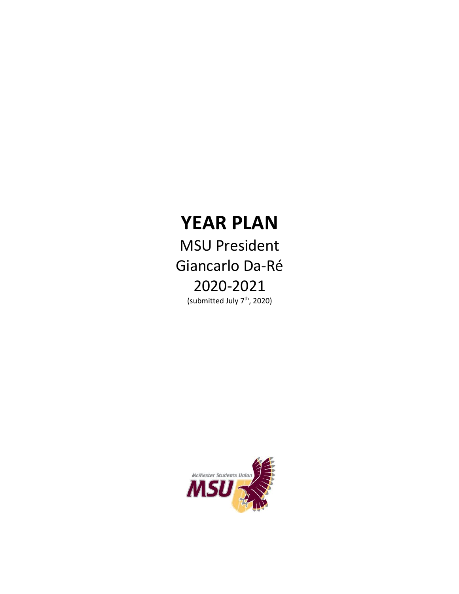# **YEAR PLAN**

MSU President Giancarlo Da-Ré 2020-2021 (submitted July 7<sup>th</sup>, 2020)

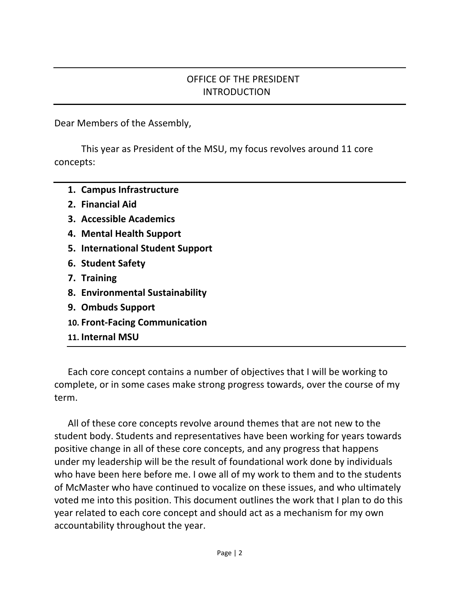#### OFFICE OF THE PRESIDENT INTRODUCTION

Dear Members of the Assembly,

This year as President of the MSU, my focus revolves around 11 core concepts:

- **1. Campus Infrastructure**
- **2. Financial Aid**
- **3. Accessible Academics**
- **4. Mental Health Support**
- **5. International Student Support**
- **6. Student Safety**
- **7. Training**
- **8. Environmental Sustainability**
- **9. Ombuds Support**
- **10. Front-Facing Communication**
- **11. Internal MSU**

Each core concept contains a number of objectives that I will be working to complete, or in some cases make strong progress towards, over the course of my term.

All of these core concepts revolve around themes that are not new to the student body. Students and representatives have been working for years towards positive change in all of these core concepts, and any progress that happens under my leadership will be the result of foundational work done by individuals who have been here before me. I owe all of my work to them and to the students of McMaster who have continued to vocalize on these issues, and who ultimately voted me into this position. This document outlines the work that I plan to do this year related to each core concept and should act as a mechanism for my own accountability throughout the year.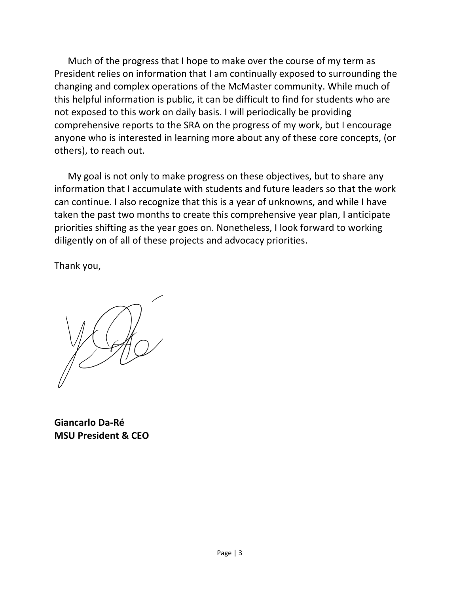Much of the progress that I hope to make over the course of my term as President relies on information that I am continually exposed to surrounding the changing and complex operations of the McMaster community. While much of this helpful information is public, it can be difficult to find for students who are not exposed to this work on daily basis. I will periodically be providing comprehensive reports to the SRA on the progress of my work, but I encourage anyone who is interested in learning more about any of these core concepts, (or others), to reach out.

My goal is not only to make progress on these objectives, but to share any information that I accumulate with students and future leaders so that the work can continue. I also recognize that this is a year of unknowns, and while I have taken the past two months to create this comprehensive year plan, I anticipate priorities shifting as the year goes on. Nonetheless, I look forward to working diligently on of all of these projects and advocacy priorities.

Thank you,

**Giancarlo Da-Ré MSU President & CEO**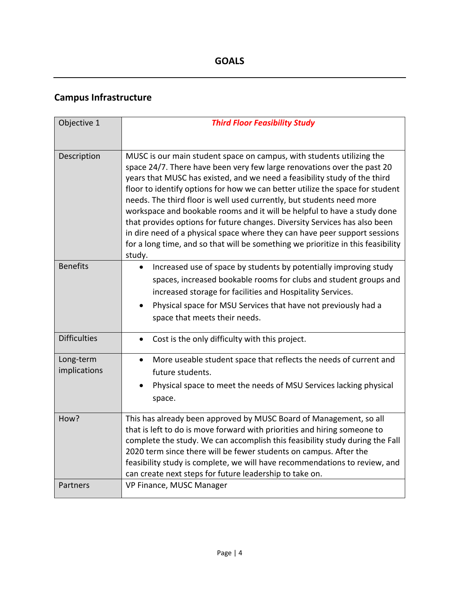## **Campus Infrastructure**

| Objective 1               | <b>Third Floor Feasibility Study</b>                                                                                                                                                                                                                                                                                                                                                                                                                                                                                                                                                                                                                                                                                          |
|---------------------------|-------------------------------------------------------------------------------------------------------------------------------------------------------------------------------------------------------------------------------------------------------------------------------------------------------------------------------------------------------------------------------------------------------------------------------------------------------------------------------------------------------------------------------------------------------------------------------------------------------------------------------------------------------------------------------------------------------------------------------|
| Description               | MUSC is our main student space on campus, with students utilizing the<br>space 24/7. There have been very few large renovations over the past 20<br>years that MUSC has existed, and we need a feasibility study of the third<br>floor to identify options for how we can better utilize the space for student<br>needs. The third floor is well used currently, but students need more<br>workspace and bookable rooms and it will be helpful to have a study done<br>that provides options for future changes. Diversity Services has also been<br>in dire need of a physical space where they can have peer support sessions<br>for a long time, and so that will be something we prioritize in this feasibility<br>study. |
| <b>Benefits</b>           | Increased use of space by students by potentially improving study<br>$\bullet$<br>spaces, increased bookable rooms for clubs and student groups and<br>increased storage for facilities and Hospitality Services.<br>Physical space for MSU Services that have not previously had a<br>space that meets their needs.                                                                                                                                                                                                                                                                                                                                                                                                          |
| <b>Difficulties</b>       | Cost is the only difficulty with this project.<br>$\bullet$                                                                                                                                                                                                                                                                                                                                                                                                                                                                                                                                                                                                                                                                   |
| Long-term<br>implications | More useable student space that reflects the needs of current and<br>$\bullet$<br>future students.<br>Physical space to meet the needs of MSU Services lacking physical<br>space.                                                                                                                                                                                                                                                                                                                                                                                                                                                                                                                                             |
| How?                      | This has already been approved by MUSC Board of Management, so all<br>that is left to do is move forward with priorities and hiring someone to<br>complete the study. We can accomplish this feasibility study during the Fall<br>2020 term since there will be fewer students on campus. After the<br>feasibility study is complete, we will have recommendations to review, and<br>can create next steps for future leadership to take on.                                                                                                                                                                                                                                                                                  |
| Partners                  | VP Finance, MUSC Manager                                                                                                                                                                                                                                                                                                                                                                                                                                                                                                                                                                                                                                                                                                      |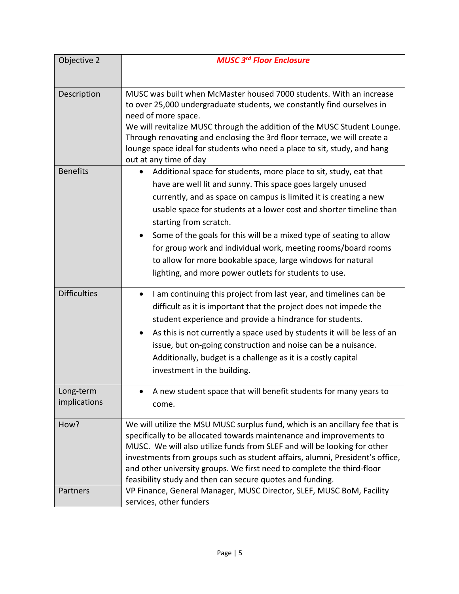| Objective 2               | <b>MUSC 3rd Floor Enclosure</b>                                                                                                                                                                                                                                                                                                                                                                                                                                                                                                                                                     |
|---------------------------|-------------------------------------------------------------------------------------------------------------------------------------------------------------------------------------------------------------------------------------------------------------------------------------------------------------------------------------------------------------------------------------------------------------------------------------------------------------------------------------------------------------------------------------------------------------------------------------|
|                           |                                                                                                                                                                                                                                                                                                                                                                                                                                                                                                                                                                                     |
| Description               | MUSC was built when McMaster housed 7000 students. With an increase<br>to over 25,000 undergraduate students, we constantly find ourselves in<br>need of more space.<br>We will revitalize MUSC through the addition of the MUSC Student Lounge.<br>Through renovating and enclosing the 3rd floor terrace, we will create a<br>lounge space ideal for students who need a place to sit, study, and hang<br>out at any time of day                                                                                                                                                  |
| <b>Benefits</b>           | Additional space for students, more place to sit, study, eat that<br>$\bullet$<br>have are well lit and sunny. This space goes largely unused<br>currently, and as space on campus is limited it is creating a new<br>usable space for students at a lower cost and shorter timeline than<br>starting from scratch.<br>Some of the goals for this will be a mixed type of seating to allow<br>for group work and individual work, meeting rooms/board rooms<br>to allow for more bookable space, large windows for natural<br>lighting, and more power outlets for students to use. |
| <b>Difficulties</b>       | I am continuing this project from last year, and timelines can be<br>٠<br>difficult as it is important that the project does not impede the<br>student experience and provide a hindrance for students.<br>As this is not currently a space used by students it will be less of an<br>$\bullet$<br>issue, but on-going construction and noise can be a nuisance.<br>Additionally, budget is a challenge as it is a costly capital<br>investment in the building.                                                                                                                    |
| Long-term<br>implications | A new student space that will benefit students for many years to<br>come.                                                                                                                                                                                                                                                                                                                                                                                                                                                                                                           |
| How?                      | We will utilize the MSU MUSC surplus fund, which is an ancillary fee that is<br>specifically to be allocated towards maintenance and improvements to<br>MUSC. We will also utilize funds from SLEF and will be looking for other<br>investments from groups such as student affairs, alumni, President's office,<br>and other university groups. We first need to complete the third-floor<br>feasibility study and then can secure quotes and funding.                                                                                                                             |
| Partners                  | VP Finance, General Manager, MUSC Director, SLEF, MUSC BoM, Facility<br>services, other funders                                                                                                                                                                                                                                                                                                                                                                                                                                                                                     |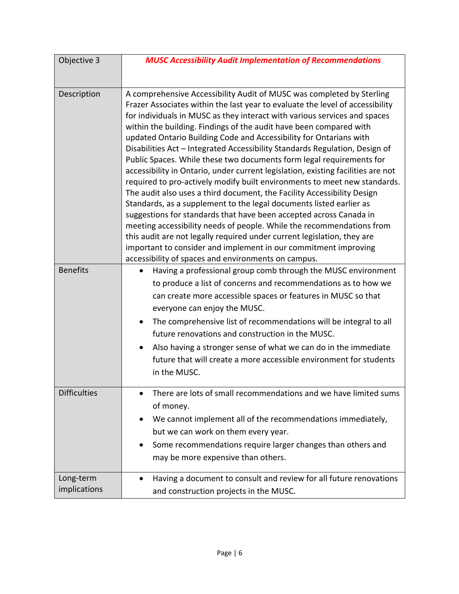| Objective 3               | <b>MUSC Accessibility Audit Implementation of Recommendations</b>                                                                                                                                                                                                                                                                                                                                                                                                                                                                                                                                                                                                                                                                                                                                                                                                                                                                                                                                                                                                                                                                                                                                             |
|---------------------------|---------------------------------------------------------------------------------------------------------------------------------------------------------------------------------------------------------------------------------------------------------------------------------------------------------------------------------------------------------------------------------------------------------------------------------------------------------------------------------------------------------------------------------------------------------------------------------------------------------------------------------------------------------------------------------------------------------------------------------------------------------------------------------------------------------------------------------------------------------------------------------------------------------------------------------------------------------------------------------------------------------------------------------------------------------------------------------------------------------------------------------------------------------------------------------------------------------------|
|                           |                                                                                                                                                                                                                                                                                                                                                                                                                                                                                                                                                                                                                                                                                                                                                                                                                                                                                                                                                                                                                                                                                                                                                                                                               |
| Description               | A comprehensive Accessibility Audit of MUSC was completed by Sterling<br>Frazer Associates within the last year to evaluate the level of accessibility<br>for individuals in MUSC as they interact with various services and spaces<br>within the building. Findings of the audit have been compared with<br>updated Ontario Building Code and Accessibility for Ontarians with<br>Disabilities Act - Integrated Accessibility Standards Regulation, Design of<br>Public Spaces. While these two documents form legal requirements for<br>accessibility in Ontario, under current legislation, existing facilities are not<br>required to pro-actively modify built environments to meet new standards.<br>The audit also uses a third document, the Facility Accessibility Design<br>Standards, as a supplement to the legal documents listed earlier as<br>suggestions for standards that have been accepted across Canada in<br>meeting accessibility needs of people. While the recommendations from<br>this audit are not legally required under current legislation, they are<br>important to consider and implement in our commitment improving<br>accessibility of spaces and environments on campus. |
| <b>Benefits</b>           | Having a professional group comb through the MUSC environment<br>$\bullet$<br>to produce a list of concerns and recommendations as to how we<br>can create more accessible spaces or features in MUSC so that<br>everyone can enjoy the MUSC.<br>The comprehensive list of recommendations will be integral to all<br>$\bullet$<br>future renovations and construction in the MUSC.<br>Also having a stronger sense of what we can do in the immediate<br>$\bullet$<br>future that will create a more accessible environment for students<br>in the MUSC.                                                                                                                                                                                                                                                                                                                                                                                                                                                                                                                                                                                                                                                     |
| <b>Difficulties</b>       | There are lots of small recommendations and we have limited sums<br>of money.<br>We cannot implement all of the recommendations immediately,<br>$\bullet$<br>but we can work on them every year.<br>Some recommendations require larger changes than others and<br>٠<br>may be more expensive than others.                                                                                                                                                                                                                                                                                                                                                                                                                                                                                                                                                                                                                                                                                                                                                                                                                                                                                                    |
| Long-term<br>implications | Having a document to consult and review for all future renovations<br>$\bullet$<br>and construction projects in the MUSC.                                                                                                                                                                                                                                                                                                                                                                                                                                                                                                                                                                                                                                                                                                                                                                                                                                                                                                                                                                                                                                                                                     |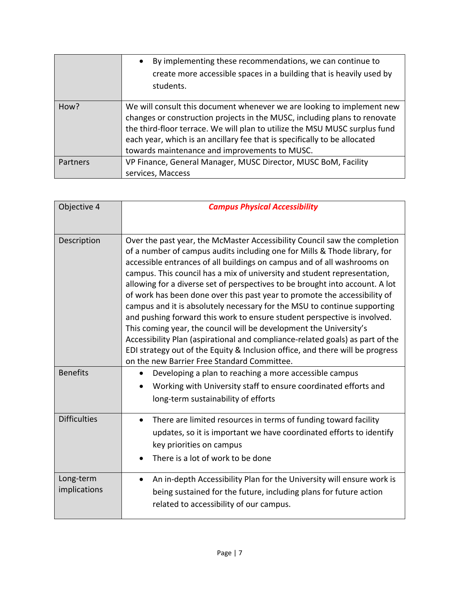|          | By implementing these recommendations, we can continue to<br>$\bullet$<br>create more accessible spaces in a building that is heavily used by<br>students.                                                                                                                                                                                                      |
|----------|-----------------------------------------------------------------------------------------------------------------------------------------------------------------------------------------------------------------------------------------------------------------------------------------------------------------------------------------------------------------|
| How?     | We will consult this document whenever we are looking to implement new<br>changes or construction projects in the MUSC, including plans to renovate<br>the third-floor terrace. We will plan to utilize the MSU MUSC surplus fund<br>each year, which is an ancillary fee that is specifically to be allocated<br>towards maintenance and improvements to MUSC. |
| Partners | VP Finance, General Manager, MUSC Director, MUSC BoM, Facility<br>services, Maccess                                                                                                                                                                                                                                                                             |

| Objective 4               | <b>Campus Physical Accessibility</b>                                                                                                                                                                                                                                                                                                                                                                                                                                                                                                                                                                                                                                                                                                                                                                                                                                                                                      |
|---------------------------|---------------------------------------------------------------------------------------------------------------------------------------------------------------------------------------------------------------------------------------------------------------------------------------------------------------------------------------------------------------------------------------------------------------------------------------------------------------------------------------------------------------------------------------------------------------------------------------------------------------------------------------------------------------------------------------------------------------------------------------------------------------------------------------------------------------------------------------------------------------------------------------------------------------------------|
| Description               | Over the past year, the McMaster Accessibility Council saw the completion<br>of a number of campus audits including one for Mills & Thode library, for<br>accessible entrances of all buildings on campus and of all washrooms on<br>campus. This council has a mix of university and student representation,<br>allowing for a diverse set of perspectives to be brought into account. A lot<br>of work has been done over this past year to promote the accessibility of<br>campus and it is absolutely necessary for the MSU to continue supporting<br>and pushing forward this work to ensure student perspective is involved.<br>This coming year, the council will be development the University's<br>Accessibility Plan (aspirational and compliance-related goals) as part of the<br>EDI strategy out of the Equity & Inclusion office, and there will be progress<br>on the new Barrier Free Standard Committee. |
| <b>Benefits</b>           | Developing a plan to reaching a more accessible campus<br>$\bullet$<br>Working with University staff to ensure coordinated efforts and<br>long-term sustainability of efforts                                                                                                                                                                                                                                                                                                                                                                                                                                                                                                                                                                                                                                                                                                                                             |
| <b>Difficulties</b>       | There are limited resources in terms of funding toward facility<br>$\bullet$<br>updates, so it is important we have coordinated efforts to identify<br>key priorities on campus<br>There is a lot of work to be done                                                                                                                                                                                                                                                                                                                                                                                                                                                                                                                                                                                                                                                                                                      |
| Long-term<br>implications | An in-depth Accessibility Plan for the University will ensure work is<br>being sustained for the future, including plans for future action<br>related to accessibility of our campus.                                                                                                                                                                                                                                                                                                                                                                                                                                                                                                                                                                                                                                                                                                                                     |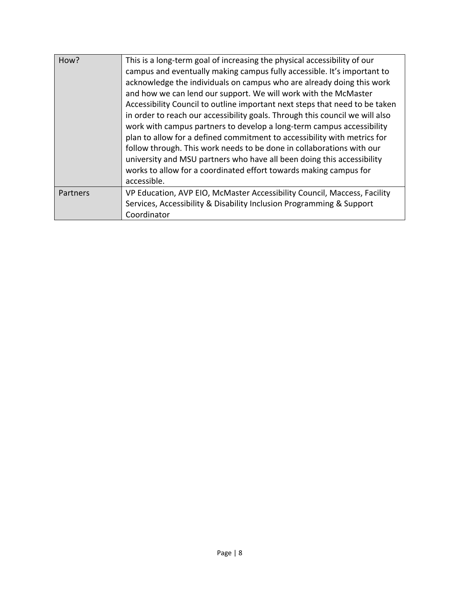| How?     | This is a long-term goal of increasing the physical accessibility of our<br>campus and eventually making campus fully accessible. It's important to<br>acknowledge the individuals on campus who are already doing this work<br>and how we can lend our support. We will work with the McMaster<br>Accessibility Council to outline important next steps that need to be taken<br>in order to reach our accessibility goals. Through this council we will also<br>work with campus partners to develop a long-term campus accessibility<br>plan to allow for a defined commitment to accessibility with metrics for<br>follow through. This work needs to be done in collaborations with our<br>university and MSU partners who have all been doing this accessibility<br>works to allow for a coordinated effort towards making campus for<br>accessible. |
|----------|------------------------------------------------------------------------------------------------------------------------------------------------------------------------------------------------------------------------------------------------------------------------------------------------------------------------------------------------------------------------------------------------------------------------------------------------------------------------------------------------------------------------------------------------------------------------------------------------------------------------------------------------------------------------------------------------------------------------------------------------------------------------------------------------------------------------------------------------------------|
| Partners | VP Education, AVP EIO, McMaster Accessibility Council, Maccess, Facility<br>Services, Accessibility & Disability Inclusion Programming & Support<br>Coordinator                                                                                                                                                                                                                                                                                                                                                                                                                                                                                                                                                                                                                                                                                            |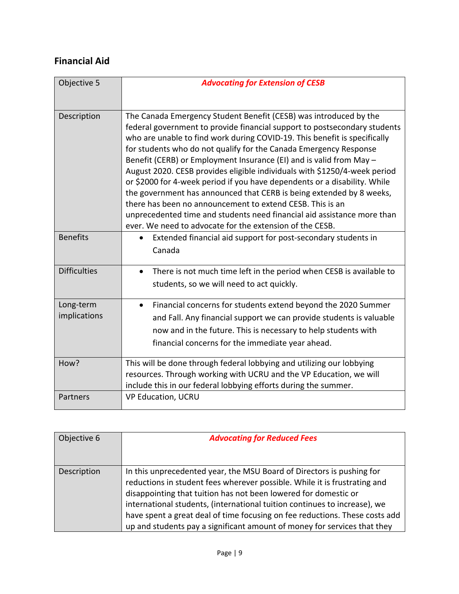#### **Financial Aid**

| Objective 5               | <b>Advocating for Extension of CESB</b>                                                                                                                                                                                                                                                                                                                                                                                                                                                                                                                                                                                                                                                                                                                                                                       |
|---------------------------|---------------------------------------------------------------------------------------------------------------------------------------------------------------------------------------------------------------------------------------------------------------------------------------------------------------------------------------------------------------------------------------------------------------------------------------------------------------------------------------------------------------------------------------------------------------------------------------------------------------------------------------------------------------------------------------------------------------------------------------------------------------------------------------------------------------|
| Description               | The Canada Emergency Student Benefit (CESB) was introduced by the<br>federal government to provide financial support to postsecondary students<br>who are unable to find work during COVID-19. This benefit is specifically<br>for students who do not qualify for the Canada Emergency Response<br>Benefit (CERB) or Employment Insurance (EI) and is valid from May -<br>August 2020. CESB provides eligible individuals with \$1250/4-week period<br>or \$2000 for 4-week period if you have dependents or a disability. While<br>the government has announced that CERB is being extended by 8 weeks,<br>there has been no announcement to extend CESB. This is an<br>unprecedented time and students need financial aid assistance more than<br>ever. We need to advocate for the extension of the CESB. |
| <b>Benefits</b>           | Extended financial aid support for post-secondary students in<br>$\bullet$<br>Canada                                                                                                                                                                                                                                                                                                                                                                                                                                                                                                                                                                                                                                                                                                                          |
| <b>Difficulties</b>       | There is not much time left in the period when CESB is available to<br>$\bullet$<br>students, so we will need to act quickly.                                                                                                                                                                                                                                                                                                                                                                                                                                                                                                                                                                                                                                                                                 |
| Long-term<br>implications | Financial concerns for students extend beyond the 2020 Summer<br>and Fall. Any financial support we can provide students is valuable<br>now and in the future. This is necessary to help students with<br>financial concerns for the immediate year ahead.                                                                                                                                                                                                                                                                                                                                                                                                                                                                                                                                                    |
| How?                      | This will be done through federal lobbying and utilizing our lobbying<br>resources. Through working with UCRU and the VP Education, we will<br>include this in our federal lobbying efforts during the summer.                                                                                                                                                                                                                                                                                                                                                                                                                                                                                                                                                                                                |
| Partners                  | <b>VP Education, UCRU</b>                                                                                                                                                                                                                                                                                                                                                                                                                                                                                                                                                                                                                                                                                                                                                                                     |

| Objective 6 | <b>Advocating for Reduced Fees</b>                                                                                                                                                                                                                                                                                                                                                                                                                            |
|-------------|---------------------------------------------------------------------------------------------------------------------------------------------------------------------------------------------------------------------------------------------------------------------------------------------------------------------------------------------------------------------------------------------------------------------------------------------------------------|
| Description | In this unprecedented year, the MSU Board of Directors is pushing for<br>reductions in student fees wherever possible. While it is frustrating and<br>disappointing that tuition has not been lowered for domestic or<br>international students, (international tuition continues to increase), we<br>have spent a great deal of time focusing on fee reductions. These costs add<br>up and students pay a significant amount of money for services that they |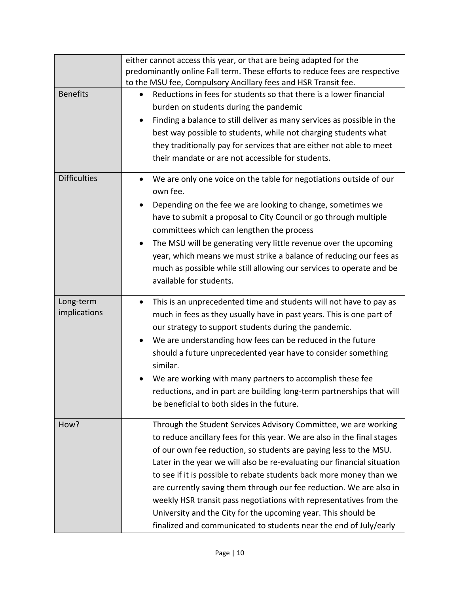|                     | either cannot access this year, or that are being adapted for the               |
|---------------------|---------------------------------------------------------------------------------|
|                     | predominantly online Fall term. These efforts to reduce fees are respective     |
|                     | to the MSU fee, Compulsory Ancillary fees and HSR Transit fee.                  |
| <b>Benefits</b>     | Reductions in fees for students so that there is a lower financial              |
|                     | burden on students during the pandemic                                          |
|                     | Finding a balance to still deliver as many services as possible in the          |
|                     | best way possible to students, while not charging students what                 |
|                     | they traditionally pay for services that are either not able to meet            |
|                     | their mandate or are not accessible for students.                               |
| <b>Difficulties</b> | We are only one voice on the table for negotiations outside of our              |
|                     | own fee.                                                                        |
|                     | Depending on the fee we are looking to change, sometimes we<br>٠                |
|                     | have to submit a proposal to City Council or go through multiple                |
|                     | committees which can lengthen the process                                       |
|                     | The MSU will be generating very little revenue over the upcoming<br>$\bullet$   |
|                     | year, which means we must strike a balance of reducing our fees as              |
|                     | much as possible while still allowing our services to operate and be            |
|                     | available for students.                                                         |
|                     |                                                                                 |
| Long-term           | This is an unprecedented time and students will not have to pay as<br>$\bullet$ |
| implications        | much in fees as they usually have in past years. This is one part of            |
|                     | our strategy to support students during the pandemic.                           |
|                     | We are understanding how fees can be reduced in the future<br>$\bullet$         |
|                     | should a future unprecedented year have to consider something                   |
|                     | similar.                                                                        |
|                     | We are working with many partners to accomplish these fee                       |
|                     | reductions, and in part are building long-term partnerships that will           |
|                     | be beneficial to both sides in the future.                                      |
|                     |                                                                                 |
| How?                | Through the Student Services Advisory Committee, we are working                 |
|                     | to reduce ancillary fees for this year. We are also in the final stages         |
|                     | of our own fee reduction, so students are paying less to the MSU.               |
|                     | Later in the year we will also be re-evaluating our financial situation         |
|                     | to see if it is possible to rebate students back more money than we             |
|                     | are currently saving them through our fee reduction. We are also in             |
|                     | weekly HSR transit pass negotiations with representatives from the              |
|                     | University and the City for the upcoming year. This should be                   |
|                     | finalized and communicated to students near the end of July/early               |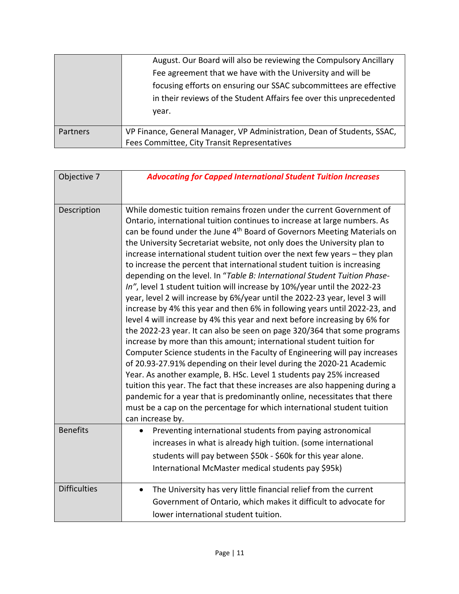|          | August. Our Board will also be reviewing the Compulsory Ancillary       |
|----------|-------------------------------------------------------------------------|
|          | Fee agreement that we have with the University and will be              |
|          | focusing efforts on ensuring our SSAC subcommittees are effective       |
|          | in their reviews of the Student Affairs fee over this unprecedented     |
|          | vear.                                                                   |
|          |                                                                         |
| Partners | VP Finance, General Manager, VP Administration, Dean of Students, SSAC, |
|          | Fees Committee, City Transit Representatives                            |

| Objective 7         | <b>Advocating for Capped International Student Tuition Increases</b>                                                                                                                                                                                                                                                                                                                                                                                                                                                                                                                                                                                                                                                                                                                                                                                                                                                                                                                                                                                                                                                                                                                                                                                                                                                                                                                                                                                                                                                              |
|---------------------|-----------------------------------------------------------------------------------------------------------------------------------------------------------------------------------------------------------------------------------------------------------------------------------------------------------------------------------------------------------------------------------------------------------------------------------------------------------------------------------------------------------------------------------------------------------------------------------------------------------------------------------------------------------------------------------------------------------------------------------------------------------------------------------------------------------------------------------------------------------------------------------------------------------------------------------------------------------------------------------------------------------------------------------------------------------------------------------------------------------------------------------------------------------------------------------------------------------------------------------------------------------------------------------------------------------------------------------------------------------------------------------------------------------------------------------------------------------------------------------------------------------------------------------|
| Description         | While domestic tuition remains frozen under the current Government of<br>Ontario, international tuition continues to increase at large numbers. As<br>can be found under the June 4 <sup>th</sup> Board of Governors Meeting Materials on<br>the University Secretariat website, not only does the University plan to<br>increase international student tuition over the next few years - they plan<br>to increase the percent that international student tuition is increasing<br>depending on the level. In "Table B: International Student Tuition Phase-<br>In", level 1 student tuition will increase by 10%/year until the 2022-23<br>year, level 2 will increase by 6%/year until the 2022-23 year, level 3 will<br>increase by 4% this year and then 6% in following years until 2022-23, and<br>level 4 will increase by 4% this year and next before increasing by 6% for<br>the 2022-23 year. It can also be seen on page 320/364 that some programs<br>increase by more than this amount; international student tuition for<br>Computer Science students in the Faculty of Engineering will pay increases<br>of 20.93-27.91% depending on their level during the 2020-21 Academic<br>Year. As another example, B. HSc. Level 1 students pay 25% increased<br>tuition this year. The fact that these increases are also happening during a<br>pandemic for a year that is predominantly online, necessitates that there<br>must be a cap on the percentage for which international student tuition<br>can increase by. |
| <b>Benefits</b>     | Preventing international students from paying astronomical<br>increases in what is already high tuition. (some international<br>students will pay between \$50k - \$60k for this year alone.<br>International McMaster medical students pay \$95k)                                                                                                                                                                                                                                                                                                                                                                                                                                                                                                                                                                                                                                                                                                                                                                                                                                                                                                                                                                                                                                                                                                                                                                                                                                                                                |
| <b>Difficulties</b> | The University has very little financial relief from the current<br>Government of Ontario, which makes it difficult to advocate for<br>lower international student tuition.                                                                                                                                                                                                                                                                                                                                                                                                                                                                                                                                                                                                                                                                                                                                                                                                                                                                                                                                                                                                                                                                                                                                                                                                                                                                                                                                                       |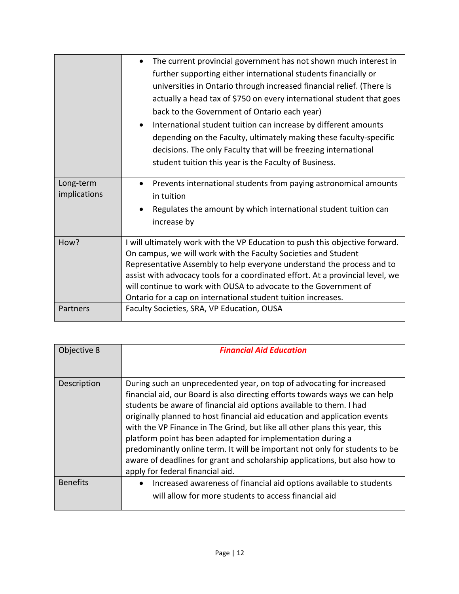|                           | The current provincial government has not shown much interest in<br>further supporting either international students financially or<br>universities in Ontario through increased financial relief. (There is<br>actually a head tax of \$750 on every international student that goes<br>back to the Government of Ontario each year)<br>International student tuition can increase by different amounts<br>depending on the Faculty, ultimately making these faculty-specific<br>decisions. The only Faculty that will be freezing international<br>student tuition this year is the Faculty of Business. |
|---------------------------|------------------------------------------------------------------------------------------------------------------------------------------------------------------------------------------------------------------------------------------------------------------------------------------------------------------------------------------------------------------------------------------------------------------------------------------------------------------------------------------------------------------------------------------------------------------------------------------------------------|
| Long-term<br>implications | Prevents international students from paying astronomical amounts<br>in tuition<br>Regulates the amount by which international student tuition can<br>increase by                                                                                                                                                                                                                                                                                                                                                                                                                                           |
| How?                      | I will ultimately work with the VP Education to push this objective forward.<br>On campus, we will work with the Faculty Societies and Student<br>Representative Assembly to help everyone understand the process and to<br>assist with advocacy tools for a coordinated effort. At a provincial level, we<br>will continue to work with OUSA to advocate to the Government of<br>Ontario for a cap on international student tuition increases.                                                                                                                                                            |
| Partners                  | Faculty Societies, SRA, VP Education, OUSA                                                                                                                                                                                                                                                                                                                                                                                                                                                                                                                                                                 |

| Objective 8     | <b>Financial Aid Education</b>                                                                                                                                                                                                                                                                                                                                                                                                                                                                                                                                                                                                                         |
|-----------------|--------------------------------------------------------------------------------------------------------------------------------------------------------------------------------------------------------------------------------------------------------------------------------------------------------------------------------------------------------------------------------------------------------------------------------------------------------------------------------------------------------------------------------------------------------------------------------------------------------------------------------------------------------|
| Description     | During such an unprecedented year, on top of advocating for increased<br>financial aid, our Board is also directing efforts towards ways we can help<br>students be aware of financial aid options available to them. I had<br>originally planned to host financial aid education and application events<br>with the VP Finance in The Grind, but like all other plans this year, this<br>platform point has been adapted for implementation during a<br>predominantly online term. It will be important not only for students to be<br>aware of deadlines for grant and scholarship applications, but also how to<br>apply for federal financial aid. |
| <b>Benefits</b> | Increased awareness of financial aid options available to students<br>will allow for more students to access financial aid                                                                                                                                                                                                                                                                                                                                                                                                                                                                                                                             |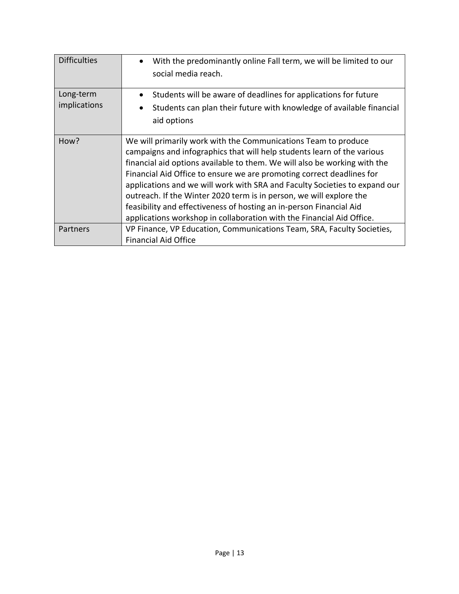| <b>Difficulties</b>       | With the predominantly online Fall term, we will be limited to our<br>$\bullet$<br>social media reach.                                                                                                                                                                                                                                                                                                                                                                                                                                                                                               |
|---------------------------|------------------------------------------------------------------------------------------------------------------------------------------------------------------------------------------------------------------------------------------------------------------------------------------------------------------------------------------------------------------------------------------------------------------------------------------------------------------------------------------------------------------------------------------------------------------------------------------------------|
| Long-term<br>implications | Students will be aware of deadlines for applications for future<br>$\bullet$<br>Students can plan their future with knowledge of available financial<br>$\bullet$<br>aid options                                                                                                                                                                                                                                                                                                                                                                                                                     |
| How?                      | We will primarily work with the Communications Team to produce<br>campaigns and infographics that will help students learn of the various<br>financial aid options available to them. We will also be working with the<br>Financial Aid Office to ensure we are promoting correct deadlines for<br>applications and we will work with SRA and Faculty Societies to expand our<br>outreach. If the Winter 2020 term is in person, we will explore the<br>feasibility and effectiveness of hosting an in-person Financial Aid<br>applications workshop in collaboration with the Financial Aid Office. |
| Partners                  | VP Finance, VP Education, Communications Team, SRA, Faculty Societies,<br><b>Financial Aid Office</b>                                                                                                                                                                                                                                                                                                                                                                                                                                                                                                |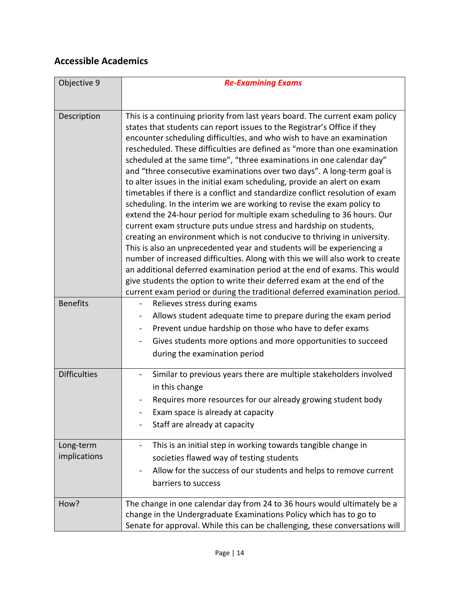#### **Accessible Academics**

| Objective 9               | <b>Re-Examining Exams</b>                                                                                                                                                                                                                                                                                                                                                                                                                                                                                                                                                                                                                                                                                                                                                                                                                                                                                                                                                                                                                                                                                                                                                                                                                                                                                                                 |
|---------------------------|-------------------------------------------------------------------------------------------------------------------------------------------------------------------------------------------------------------------------------------------------------------------------------------------------------------------------------------------------------------------------------------------------------------------------------------------------------------------------------------------------------------------------------------------------------------------------------------------------------------------------------------------------------------------------------------------------------------------------------------------------------------------------------------------------------------------------------------------------------------------------------------------------------------------------------------------------------------------------------------------------------------------------------------------------------------------------------------------------------------------------------------------------------------------------------------------------------------------------------------------------------------------------------------------------------------------------------------------|
|                           |                                                                                                                                                                                                                                                                                                                                                                                                                                                                                                                                                                                                                                                                                                                                                                                                                                                                                                                                                                                                                                                                                                                                                                                                                                                                                                                                           |
| Description               | This is a continuing priority from last years board. The current exam policy<br>states that students can report issues to the Registrar's Office if they<br>encounter scheduling difficulties, and who wish to have an examination<br>rescheduled. These difficulties are defined as "more than one examination<br>scheduled at the same time", "three examinations in one calendar day"<br>and "three consecutive examinations over two days". A long-term goal is<br>to alter issues in the initial exam scheduling, provide an alert on exam<br>timetables if there is a conflict and standardize conflict resolution of exam<br>scheduling. In the interim we are working to revise the exam policy to<br>extend the 24-hour period for multiple exam scheduling to 36 hours. Our<br>current exam structure puts undue stress and hardship on students,<br>creating an environment which is not conducive to thriving in university.<br>This is also an unprecedented year and students will be experiencing a<br>number of increased difficulties. Along with this we will also work to create<br>an additional deferred examination period at the end of exams. This would<br>give students the option to write their deferred exam at the end of the<br>current exam period or during the traditional deferred examination period. |
| <b>Benefits</b>           | Relieves stress during exams<br>Allows student adequate time to prepare during the exam period<br>Prevent undue hardship on those who have to defer exams<br>$\qquad \qquad \blacksquare$<br>Gives students more options and more opportunities to succeed<br>during the examination period                                                                                                                                                                                                                                                                                                                                                                                                                                                                                                                                                                                                                                                                                                                                                                                                                                                                                                                                                                                                                                               |
| <b>Difficulties</b>       | Similar to previous years there are multiple stakeholders involved<br>$\overline{\phantom{0}}$<br>in this change<br>Requires more resources for our already growing student body<br>Exam space is already at capacity<br>Staff are already at capacity                                                                                                                                                                                                                                                                                                                                                                                                                                                                                                                                                                                                                                                                                                                                                                                                                                                                                                                                                                                                                                                                                    |
| Long-term<br>implications | This is an initial step in working towards tangible change in<br>$\overline{\phantom{a}}$<br>societies flawed way of testing students<br>Allow for the success of our students and helps to remove current<br>barriers to success                                                                                                                                                                                                                                                                                                                                                                                                                                                                                                                                                                                                                                                                                                                                                                                                                                                                                                                                                                                                                                                                                                         |
| How?                      | The change in one calendar day from 24 to 36 hours would ultimately be a<br>change in the Undergraduate Examinations Policy which has to go to<br>Senate for approval. While this can be challenging, these conversations will                                                                                                                                                                                                                                                                                                                                                                                                                                                                                                                                                                                                                                                                                                                                                                                                                                                                                                                                                                                                                                                                                                            |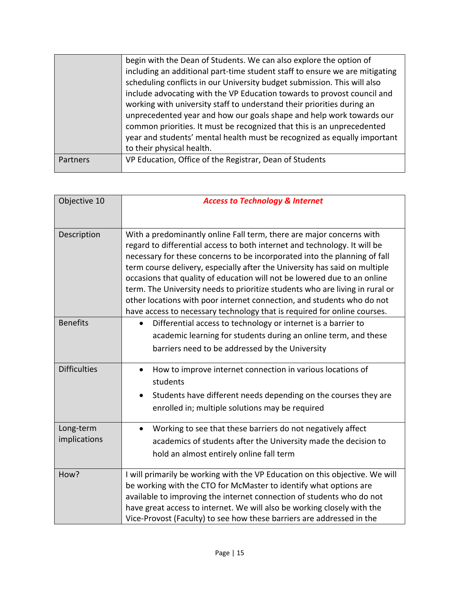|          | begin with the Dean of Students. We can also explore the option of          |
|----------|-----------------------------------------------------------------------------|
|          | including an additional part-time student staff to ensure we are mitigating |
|          | scheduling conflicts in our University budget submission. This will also    |
|          | include advocating with the VP Education towards to provost council and     |
|          | working with university staff to understand their priorities during an      |
|          | unprecedented year and how our goals shape and help work towards our        |
|          | common priorities. It must be recognized that this is an unprecedented      |
|          | year and students' mental health must be recognized as equally important    |
|          | to their physical health.                                                   |
| Partners | VP Education, Office of the Registrar, Dean of Students                     |
|          |                                                                             |

| Objective 10              | <b>Access to Technology &amp; Internet</b>                                                                                                                                                                                                                                                                                                                                                                                                                                                                                                                                                                                     |
|---------------------------|--------------------------------------------------------------------------------------------------------------------------------------------------------------------------------------------------------------------------------------------------------------------------------------------------------------------------------------------------------------------------------------------------------------------------------------------------------------------------------------------------------------------------------------------------------------------------------------------------------------------------------|
| Description               | With a predominantly online Fall term, there are major concerns with<br>regard to differential access to both internet and technology. It will be<br>necessary for these concerns to be incorporated into the planning of fall<br>term course delivery, especially after the University has said on multiple<br>occasions that quality of education will not be lowered due to an online<br>term. The University needs to prioritize students who are living in rural or<br>other locations with poor internet connection, and students who do not<br>have access to necessary technology that is required for online courses. |
| <b>Benefits</b>           | Differential access to technology or internet is a barrier to<br>academic learning for students during an online term, and these<br>barriers need to be addressed by the University                                                                                                                                                                                                                                                                                                                                                                                                                                            |
| <b>Difficulties</b>       | How to improve internet connection in various locations of<br>$\bullet$<br>students<br>Students have different needs depending on the courses they are<br>$\bullet$<br>enrolled in; multiple solutions may be required                                                                                                                                                                                                                                                                                                                                                                                                         |
| Long-term<br>implications | Working to see that these barriers do not negatively affect<br>academics of students after the University made the decision to<br>hold an almost entirely online fall term                                                                                                                                                                                                                                                                                                                                                                                                                                                     |
| How?                      | I will primarily be working with the VP Education on this objective. We will<br>be working with the CTO for McMaster to identify what options are<br>available to improving the internet connection of students who do not<br>have great access to internet. We will also be working closely with the<br>Vice-Provost (Faculty) to see how these barriers are addressed in the                                                                                                                                                                                                                                                 |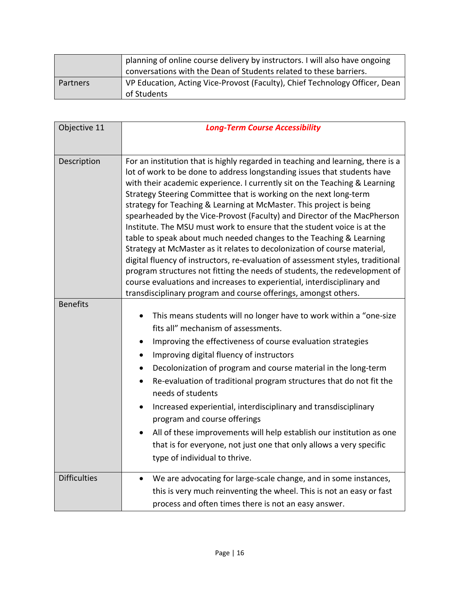|          | planning of online course delivery by instructors. I will also have ongoing<br>conversations with the Dean of Students related to these barriers. |
|----------|---------------------------------------------------------------------------------------------------------------------------------------------------|
| Partners | VP Education, Acting Vice-Provost (Faculty), Chief Technology Officer, Dean<br>of Students                                                        |

| Objective 11        | <b>Long-Term Course Accessibility</b>                                                                                                                                                                                                                                                                                                                                                                                                                                                                                                                                                                                                                                                                                                                                                                                                                                                                                                                                                                          |
|---------------------|----------------------------------------------------------------------------------------------------------------------------------------------------------------------------------------------------------------------------------------------------------------------------------------------------------------------------------------------------------------------------------------------------------------------------------------------------------------------------------------------------------------------------------------------------------------------------------------------------------------------------------------------------------------------------------------------------------------------------------------------------------------------------------------------------------------------------------------------------------------------------------------------------------------------------------------------------------------------------------------------------------------|
|                     |                                                                                                                                                                                                                                                                                                                                                                                                                                                                                                                                                                                                                                                                                                                                                                                                                                                                                                                                                                                                                |
| Description         | For an institution that is highly regarded in teaching and learning, there is a<br>lot of work to be done to address longstanding issues that students have<br>with their academic experience. I currently sit on the Teaching & Learning<br>Strategy Steering Committee that is working on the next long-term<br>strategy for Teaching & Learning at McMaster. This project is being<br>spearheaded by the Vice-Provost (Faculty) and Director of the MacPherson<br>Institute. The MSU must work to ensure that the student voice is at the<br>table to speak about much needed changes to the Teaching & Learning<br>Strategy at McMaster as it relates to decolonization of course material,<br>digital fluency of instructors, re-evaluation of assessment styles, traditional<br>program structures not fitting the needs of students, the redevelopment of<br>course evaluations and increases to experiential, interdisciplinary and<br>transdisciplinary program and course offerings, amongst others. |
| <b>Benefits</b>     |                                                                                                                                                                                                                                                                                                                                                                                                                                                                                                                                                                                                                                                                                                                                                                                                                                                                                                                                                                                                                |
|                     | This means students will no longer have to work within a "one-size                                                                                                                                                                                                                                                                                                                                                                                                                                                                                                                                                                                                                                                                                                                                                                                                                                                                                                                                             |
|                     | fits all" mechanism of assessments.                                                                                                                                                                                                                                                                                                                                                                                                                                                                                                                                                                                                                                                                                                                                                                                                                                                                                                                                                                            |
|                     | Improving the effectiveness of course evaluation strategies<br>$\bullet$                                                                                                                                                                                                                                                                                                                                                                                                                                                                                                                                                                                                                                                                                                                                                                                                                                                                                                                                       |
|                     | Improving digital fluency of instructors<br>$\bullet$                                                                                                                                                                                                                                                                                                                                                                                                                                                                                                                                                                                                                                                                                                                                                                                                                                                                                                                                                          |
|                     | Decolonization of program and course material in the long-term                                                                                                                                                                                                                                                                                                                                                                                                                                                                                                                                                                                                                                                                                                                                                                                                                                                                                                                                                 |
|                     | Re-evaluation of traditional program structures that do not fit the<br>needs of students                                                                                                                                                                                                                                                                                                                                                                                                                                                                                                                                                                                                                                                                                                                                                                                                                                                                                                                       |
|                     | Increased experiential, interdisciplinary and transdisciplinary<br>program and course offerings                                                                                                                                                                                                                                                                                                                                                                                                                                                                                                                                                                                                                                                                                                                                                                                                                                                                                                                |
|                     | All of these improvements will help establish our institution as one<br>٠                                                                                                                                                                                                                                                                                                                                                                                                                                                                                                                                                                                                                                                                                                                                                                                                                                                                                                                                      |
|                     | that is for everyone, not just one that only allows a very specific                                                                                                                                                                                                                                                                                                                                                                                                                                                                                                                                                                                                                                                                                                                                                                                                                                                                                                                                            |
|                     | type of individual to thrive.                                                                                                                                                                                                                                                                                                                                                                                                                                                                                                                                                                                                                                                                                                                                                                                                                                                                                                                                                                                  |
| <b>Difficulties</b> | We are advocating for large-scale change, and in some instances,<br>$\bullet$                                                                                                                                                                                                                                                                                                                                                                                                                                                                                                                                                                                                                                                                                                                                                                                                                                                                                                                                  |
|                     | this is very much reinventing the wheel. This is not an easy or fast                                                                                                                                                                                                                                                                                                                                                                                                                                                                                                                                                                                                                                                                                                                                                                                                                                                                                                                                           |
|                     | process and often times there is not an easy answer.                                                                                                                                                                                                                                                                                                                                                                                                                                                                                                                                                                                                                                                                                                                                                                                                                                                                                                                                                           |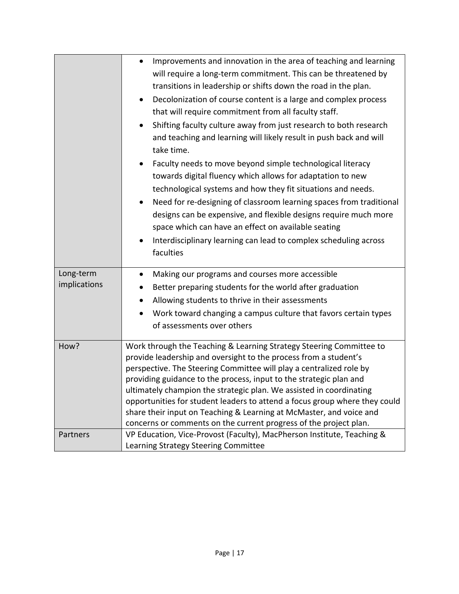|                           | Improvements and innovation in the area of teaching and learning<br>$\bullet$<br>will require a long-term commitment. This can be threatened by<br>transitions in leadership or shifts down the road in the plan.<br>Decolonization of course content is a large and complex process<br>$\bullet$<br>that will require commitment from all faculty staff.<br>Shifting faculty culture away from just research to both research<br>$\bullet$<br>and teaching and learning will likely result in push back and will<br>take time.<br>Faculty needs to move beyond simple technological literacy<br>$\bullet$<br>towards digital fluency which allows for adaptation to new<br>technological systems and how they fit situations and needs.<br>Need for re-designing of classroom learning spaces from traditional<br>designs can be expensive, and flexible designs require much more<br>space which can have an effect on available seating<br>Interdisciplinary learning can lead to complex scheduling across<br>$\bullet$<br>faculties |
|---------------------------|------------------------------------------------------------------------------------------------------------------------------------------------------------------------------------------------------------------------------------------------------------------------------------------------------------------------------------------------------------------------------------------------------------------------------------------------------------------------------------------------------------------------------------------------------------------------------------------------------------------------------------------------------------------------------------------------------------------------------------------------------------------------------------------------------------------------------------------------------------------------------------------------------------------------------------------------------------------------------------------------------------------------------------------|
| Long-term<br>implications | Making our programs and courses more accessible<br>$\bullet$<br>Better preparing students for the world after graduation                                                                                                                                                                                                                                                                                                                                                                                                                                                                                                                                                                                                                                                                                                                                                                                                                                                                                                                 |
|                           | Allowing students to thrive in their assessments<br>$\bullet$                                                                                                                                                                                                                                                                                                                                                                                                                                                                                                                                                                                                                                                                                                                                                                                                                                                                                                                                                                            |
|                           | Work toward changing a campus culture that favors certain types<br>$\bullet$                                                                                                                                                                                                                                                                                                                                                                                                                                                                                                                                                                                                                                                                                                                                                                                                                                                                                                                                                             |
|                           | of assessments over others                                                                                                                                                                                                                                                                                                                                                                                                                                                                                                                                                                                                                                                                                                                                                                                                                                                                                                                                                                                                               |
| How?                      | Work through the Teaching & Learning Strategy Steering Committee to<br>provide leadership and oversight to the process from a student's<br>perspective. The Steering Committee will play a centralized role by<br>providing guidance to the process, input to the strategic plan and<br>ultimately champion the strategic plan. We assisted in coordinating<br>opportunities for student leaders to attend a focus group where they could<br>share their input on Teaching & Learning at McMaster, and voice and<br>concerns or comments on the current progress of the project plan.                                                                                                                                                                                                                                                                                                                                                                                                                                                    |
| Partners                  | VP Education, Vice-Provost (Faculty), MacPherson Institute, Teaching &<br>Learning Strategy Steering Committee                                                                                                                                                                                                                                                                                                                                                                                                                                                                                                                                                                                                                                                                                                                                                                                                                                                                                                                           |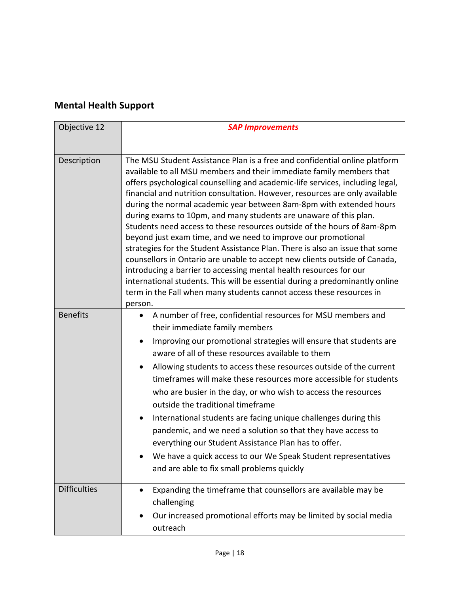## **Mental Health Support**

| Objective 12        | <b>SAP Improvements</b>                                                                                                                                                                                                                                                                                                                                                                                                                                                                                                                                                                                                                                                                                                                                                                                                                                                                                                                                                                                           |
|---------------------|-------------------------------------------------------------------------------------------------------------------------------------------------------------------------------------------------------------------------------------------------------------------------------------------------------------------------------------------------------------------------------------------------------------------------------------------------------------------------------------------------------------------------------------------------------------------------------------------------------------------------------------------------------------------------------------------------------------------------------------------------------------------------------------------------------------------------------------------------------------------------------------------------------------------------------------------------------------------------------------------------------------------|
|                     |                                                                                                                                                                                                                                                                                                                                                                                                                                                                                                                                                                                                                                                                                                                                                                                                                                                                                                                                                                                                                   |
| Description         | The MSU Student Assistance Plan is a free and confidential online platform<br>available to all MSU members and their immediate family members that<br>offers psychological counselling and academic-life services, including legal,<br>financial and nutrition consultation. However, resources are only available<br>during the normal academic year between 8am-8pm with extended hours<br>during exams to 10pm, and many students are unaware of this plan.<br>Students need access to these resources outside of the hours of 8am-8pm<br>beyond just exam time, and we need to improve our promotional<br>strategies for the Student Assistance Plan. There is also an issue that some<br>counsellors in Ontario are unable to accept new clients outside of Canada,<br>introducing a barrier to accessing mental health resources for our<br>international students. This will be essential during a predominantly online<br>term in the Fall when many students cannot access these resources in<br>person. |
| <b>Benefits</b>     | A number of free, confidential resources for MSU members and<br>$\bullet$<br>their immediate family members<br>Improving our promotional strategies will ensure that students are<br>$\bullet$<br>aware of all of these resources available to them<br>Allowing students to access these resources outside of the current<br>$\bullet$<br>timeframes will make these resources more accessible for students<br>who are busier in the day, or who wish to access the resources<br>outside the traditional timeframe<br>International students are facing unique challenges during this<br>٠<br>pandemic, and we need a solution so that they have access to<br>everything our Student Assistance Plan has to offer.<br>We have a quick access to our We Speak Student representatives<br>and are able to fix small problems quickly                                                                                                                                                                                |
| <b>Difficulties</b> | Expanding the timeframe that counsellors are available may be<br>challenging<br>Our increased promotional efforts may be limited by social media<br>٠<br>outreach                                                                                                                                                                                                                                                                                                                                                                                                                                                                                                                                                                                                                                                                                                                                                                                                                                                 |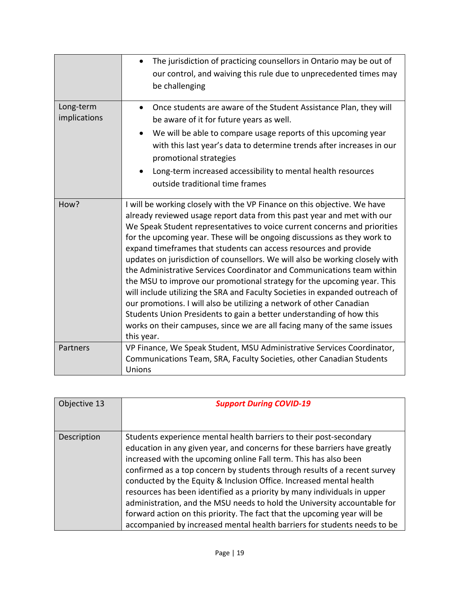|                           | The jurisdiction of practicing counsellors in Ontario may be out of<br>our control, and waiving this rule due to unprecedented times may<br>be challenging                                                                                                                                                                                                                                                                                                                                                                                                                                                                                                                                                                                                                                                                                                                                                                                      |
|---------------------------|-------------------------------------------------------------------------------------------------------------------------------------------------------------------------------------------------------------------------------------------------------------------------------------------------------------------------------------------------------------------------------------------------------------------------------------------------------------------------------------------------------------------------------------------------------------------------------------------------------------------------------------------------------------------------------------------------------------------------------------------------------------------------------------------------------------------------------------------------------------------------------------------------------------------------------------------------|
| Long-term<br>implications | Once students are aware of the Student Assistance Plan, they will<br>be aware of it for future years as well.<br>We will be able to compare usage reports of this upcoming year<br>with this last year's data to determine trends after increases in our<br>promotional strategies<br>Long-term increased accessibility to mental health resources<br>outside traditional time frames                                                                                                                                                                                                                                                                                                                                                                                                                                                                                                                                                           |
| How?                      | I will be working closely with the VP Finance on this objective. We have<br>already reviewed usage report data from this past year and met with our<br>We Speak Student representatives to voice current concerns and priorities<br>for the upcoming year. These will be ongoing discussions as they work to<br>expand timeframes that students can access resources and provide<br>updates on jurisdiction of counsellors. We will also be working closely with<br>the Administrative Services Coordinator and Communications team within<br>the MSU to improve our promotional strategy for the upcoming year. This<br>will include utilizing the SRA and Faculty Societies in expanded outreach of<br>our promotions. I will also be utilizing a network of other Canadian<br>Students Union Presidents to gain a better understanding of how this<br>works on their campuses, since we are all facing many of the same issues<br>this year. |
| Partners                  | VP Finance, We Speak Student, MSU Administrative Services Coordinator,<br>Communications Team, SRA, Faculty Societies, other Canadian Students<br>Unions                                                                                                                                                                                                                                                                                                                                                                                                                                                                                                                                                                                                                                                                                                                                                                                        |

| Objective 13 | <b>Support During COVID-19</b>                                                                                                                                                                                                                                                                                                                                                                                                                                                                                                                                                                                                                                                          |
|--------------|-----------------------------------------------------------------------------------------------------------------------------------------------------------------------------------------------------------------------------------------------------------------------------------------------------------------------------------------------------------------------------------------------------------------------------------------------------------------------------------------------------------------------------------------------------------------------------------------------------------------------------------------------------------------------------------------|
| Description  | Students experience mental health barriers to their post-secondary<br>education in any given year, and concerns for these barriers have greatly<br>increased with the upcoming online Fall term. This has also been<br>confirmed as a top concern by students through results of a recent survey<br>conducted by the Equity & Inclusion Office. Increased mental health<br>resources has been identified as a priority by many individuals in upper<br>administration, and the MSU needs to hold the University accountable for<br>forward action on this priority. The fact that the upcoming year will be<br>accompanied by increased mental health barriers for students needs to be |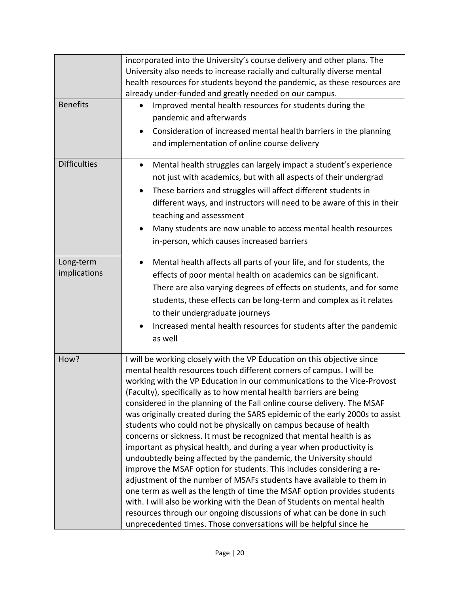| <b>Benefits</b>           | incorporated into the University's course delivery and other plans. The<br>University also needs to increase racially and culturally diverse mental<br>health resources for students beyond the pandemic, as these resources are<br>already under-funded and greatly needed on our campus.<br>Improved mental health resources for students during the<br>pandemic and afterwards                                                                                                                                                                                                                                                                                                                                                                                                                                                                                                                                                                                                                                                                                                                                                                                                                          |
|---------------------------|------------------------------------------------------------------------------------------------------------------------------------------------------------------------------------------------------------------------------------------------------------------------------------------------------------------------------------------------------------------------------------------------------------------------------------------------------------------------------------------------------------------------------------------------------------------------------------------------------------------------------------------------------------------------------------------------------------------------------------------------------------------------------------------------------------------------------------------------------------------------------------------------------------------------------------------------------------------------------------------------------------------------------------------------------------------------------------------------------------------------------------------------------------------------------------------------------------|
|                           | Consideration of increased mental health barriers in the planning<br>and implementation of online course delivery                                                                                                                                                                                                                                                                                                                                                                                                                                                                                                                                                                                                                                                                                                                                                                                                                                                                                                                                                                                                                                                                                          |
| <b>Difficulties</b>       | Mental health struggles can largely impact a student's experience<br>$\bullet$<br>not just with academics, but with all aspects of their undergrad<br>These barriers and struggles will affect different students in<br>$\bullet$<br>different ways, and instructors will need to be aware of this in their<br>teaching and assessment<br>Many students are now unable to access mental health resources<br>in-person, which causes increased barriers                                                                                                                                                                                                                                                                                                                                                                                                                                                                                                                                                                                                                                                                                                                                                     |
| Long-term<br>implications | Mental health affects all parts of your life, and for students, the<br>$\bullet$<br>effects of poor mental health on academics can be significant.<br>There are also varying degrees of effects on students, and for some<br>students, these effects can be long-term and complex as it relates<br>to their undergraduate journeys<br>Increased mental health resources for students after the pandemic<br>as well                                                                                                                                                                                                                                                                                                                                                                                                                                                                                                                                                                                                                                                                                                                                                                                         |
| How?                      | I will be working closely with the VP Education on this objective since<br>mental health resources touch different corners of campus. I will be<br>working with the VP Education in our communications to the Vice-Provost<br>(Faculty), specifically as to how mental health barriers are being<br>considered in the planning of the Fall online course delivery. The MSAF<br>was originally created during the SARS epidemic of the early 2000s to assist<br>students who could not be physically on campus because of health<br>concerns or sickness. It must be recognized that mental health is as<br>important as physical health, and during a year when productivity is<br>undoubtedly being affected by the pandemic, the University should<br>improve the MSAF option for students. This includes considering a re-<br>adjustment of the number of MSAFs students have available to them in<br>one term as well as the length of time the MSAF option provides students<br>with. I will also be working with the Dean of Students on mental health<br>resources through our ongoing discussions of what can be done in such<br>unprecedented times. Those conversations will be helpful since he |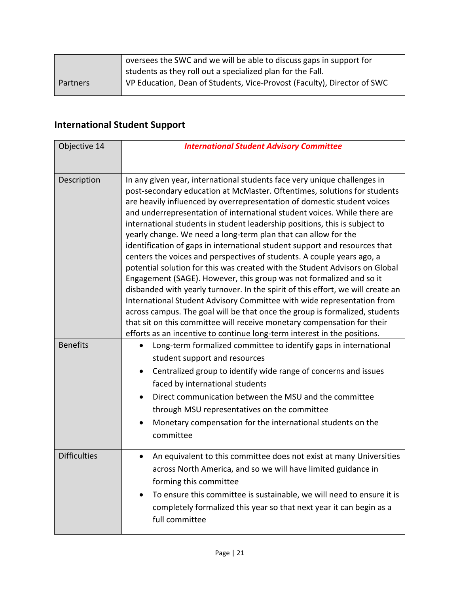|          | oversees the SWC and we will be able to discuss gaps in support for<br>students as they roll out a specialized plan for the Fall. |
|----------|-----------------------------------------------------------------------------------------------------------------------------------|
| Partners | VP Education, Dean of Students, Vice-Provost (Faculty), Director of SWC                                                           |

## **International Student Support**

| Objective 14        | <b>International Student Advisory Committee</b>                                                                                                                                                                                                                                                                                                                                                                                                                                                                                                                                                                                                                                                                                                                                                                                                                                                                                                                                                                                                                                                                                                                              |
|---------------------|------------------------------------------------------------------------------------------------------------------------------------------------------------------------------------------------------------------------------------------------------------------------------------------------------------------------------------------------------------------------------------------------------------------------------------------------------------------------------------------------------------------------------------------------------------------------------------------------------------------------------------------------------------------------------------------------------------------------------------------------------------------------------------------------------------------------------------------------------------------------------------------------------------------------------------------------------------------------------------------------------------------------------------------------------------------------------------------------------------------------------------------------------------------------------|
| Description         | In any given year, international students face very unique challenges in<br>post-secondary education at McMaster. Oftentimes, solutions for students<br>are heavily influenced by overrepresentation of domestic student voices<br>and underrepresentation of international student voices. While there are<br>international students in student leadership positions, this is subject to<br>yearly change. We need a long-term plan that can allow for the<br>identification of gaps in international student support and resources that<br>centers the voices and perspectives of students. A couple years ago, a<br>potential solution for this was created with the Student Advisors on Global<br>Engagement (SAGE). However, this group was not formalized and so it<br>disbanded with yearly turnover. In the spirit of this effort, we will create an<br>International Student Advisory Committee with wide representation from<br>across campus. The goal will be that once the group is formalized, students<br>that sit on this committee will receive monetary compensation for their<br>efforts as an incentive to continue long-term interest in the positions. |
| <b>Benefits</b>     | Long-term formalized committee to identify gaps in international<br>student support and resources<br>Centralized group to identify wide range of concerns and issues<br>$\bullet$<br>faced by international students<br>Direct communication between the MSU and the committee<br>through MSU representatives on the committee<br>Monetary compensation for the international students on the<br>committee                                                                                                                                                                                                                                                                                                                                                                                                                                                                                                                                                                                                                                                                                                                                                                   |
| <b>Difficulties</b> | An equivalent to this committee does not exist at many Universities<br>$\bullet$<br>across North America, and so we will have limited guidance in<br>forming this committee<br>To ensure this committee is sustainable, we will need to ensure it is<br>completely formalized this year so that next year it can begin as a<br>full committee                                                                                                                                                                                                                                                                                                                                                                                                                                                                                                                                                                                                                                                                                                                                                                                                                                |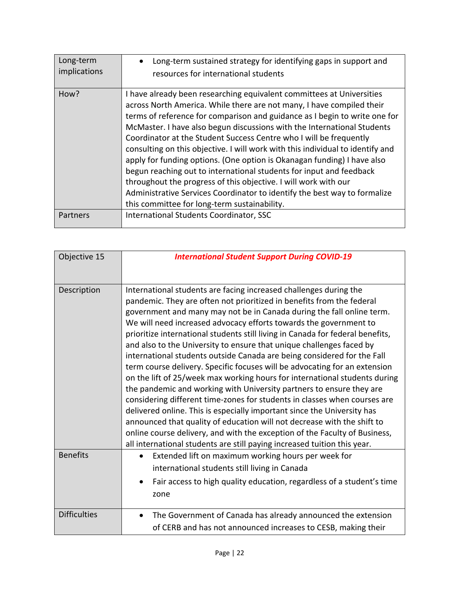| Long-term<br>implications | Long-term sustained strategy for identifying gaps in support and<br>resources for international students                                                                                                                                                                                                                                                                                                                                                                                                                                                                                                                                                                                                                                                                                                          |
|---------------------------|-------------------------------------------------------------------------------------------------------------------------------------------------------------------------------------------------------------------------------------------------------------------------------------------------------------------------------------------------------------------------------------------------------------------------------------------------------------------------------------------------------------------------------------------------------------------------------------------------------------------------------------------------------------------------------------------------------------------------------------------------------------------------------------------------------------------|
| How?                      | I have already been researching equivalent committees at Universities<br>across North America. While there are not many, I have compiled their<br>terms of reference for comparison and guidance as I begin to write one for<br>McMaster. I have also begun discussions with the International Students<br>Coordinator at the Student Success Centre who I will be frequently<br>consulting on this objective. I will work with this individual to identify and<br>apply for funding options. (One option is Okanagan funding) I have also<br>begun reaching out to international students for input and feedback<br>throughout the progress of this objective. I will work with our<br>Administrative Services Coordinator to identify the best way to formalize<br>this committee for long-term sustainability. |
| Partners                  | International Students Coordinator, SSC                                                                                                                                                                                                                                                                                                                                                                                                                                                                                                                                                                                                                                                                                                                                                                           |

| Objective 15        | <b>International Student Support During COVID-19</b>                                                                                                                                                                                                                                                                                                                                                                                                                                                                                                                                                                                                                                                                                                                                                                                                                                                                                                                                                                                                                                                                                                           |
|---------------------|----------------------------------------------------------------------------------------------------------------------------------------------------------------------------------------------------------------------------------------------------------------------------------------------------------------------------------------------------------------------------------------------------------------------------------------------------------------------------------------------------------------------------------------------------------------------------------------------------------------------------------------------------------------------------------------------------------------------------------------------------------------------------------------------------------------------------------------------------------------------------------------------------------------------------------------------------------------------------------------------------------------------------------------------------------------------------------------------------------------------------------------------------------------|
|                     |                                                                                                                                                                                                                                                                                                                                                                                                                                                                                                                                                                                                                                                                                                                                                                                                                                                                                                                                                                                                                                                                                                                                                                |
| Description         | International students are facing increased challenges during the<br>pandemic. They are often not prioritized in benefits from the federal<br>government and many may not be in Canada during the fall online term.<br>We will need increased advocacy efforts towards the government to<br>prioritize international students still living in Canada for federal benefits,<br>and also to the University to ensure that unique challenges faced by<br>international students outside Canada are being considered for the Fall<br>term course delivery. Specific focuses will be advocating for an extension<br>on the lift of 25/week max working hours for international students during<br>the pandemic and working with University partners to ensure they are<br>considering different time-zones for students in classes when courses are<br>delivered online. This is especially important since the University has<br>announced that quality of education will not decrease with the shift to<br>online course delivery, and with the exception of the Faculty of Business,<br>all international students are still paying increased tuition this year. |
| <b>Benefits</b>     | Extended lift on maximum working hours per week for<br>international students still living in Canada<br>Fair access to high quality education, regardless of a student's time<br>$\bullet$<br>zone                                                                                                                                                                                                                                                                                                                                                                                                                                                                                                                                                                                                                                                                                                                                                                                                                                                                                                                                                             |
| <b>Difficulties</b> | The Government of Canada has already announced the extension<br>$\bullet$<br>of CERB and has not announced increases to CESB, making their                                                                                                                                                                                                                                                                                                                                                                                                                                                                                                                                                                                                                                                                                                                                                                                                                                                                                                                                                                                                                     |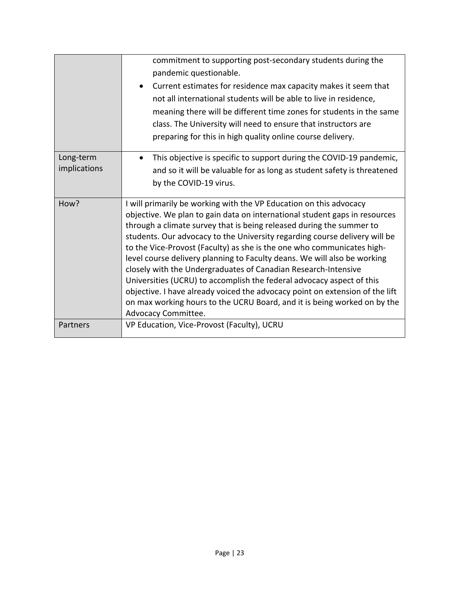|              | commitment to supporting post-secondary students during the<br>pandemic questionable.<br>Current estimates for residence max capacity makes it seem that<br>not all international students will be able to live in residence,<br>meaning there will be different time zones for students in the same<br>class. The University will need to ensure that instructors are<br>preparing for this in high quality online course delivery. |
|--------------|--------------------------------------------------------------------------------------------------------------------------------------------------------------------------------------------------------------------------------------------------------------------------------------------------------------------------------------------------------------------------------------------------------------------------------------|
| Long-term    | This objective is specific to support during the COVID-19 pandemic,                                                                                                                                                                                                                                                                                                                                                                  |
| implications | and so it will be valuable for as long as student safety is threatened                                                                                                                                                                                                                                                                                                                                                               |
|              | by the COVID-19 virus.                                                                                                                                                                                                                                                                                                                                                                                                               |
|              |                                                                                                                                                                                                                                                                                                                                                                                                                                      |
| How?         | I will primarily be working with the VP Education on this advocacy                                                                                                                                                                                                                                                                                                                                                                   |
|              | objective. We plan to gain data on international student gaps in resources                                                                                                                                                                                                                                                                                                                                                           |
|              | through a climate survey that is being released during the summer to                                                                                                                                                                                                                                                                                                                                                                 |
|              | students. Our advocacy to the University regarding course delivery will be<br>to the Vice-Provost (Faculty) as she is the one who communicates high-                                                                                                                                                                                                                                                                                 |
|              | level course delivery planning to Faculty deans. We will also be working                                                                                                                                                                                                                                                                                                                                                             |
|              | closely with the Undergraduates of Canadian Research-Intensive                                                                                                                                                                                                                                                                                                                                                                       |
|              | Universities (UCRU) to accomplish the federal advocacy aspect of this                                                                                                                                                                                                                                                                                                                                                                |
|              | objective. I have already voiced the advocacy point on extension of the lift                                                                                                                                                                                                                                                                                                                                                         |
|              | on max working hours to the UCRU Board, and it is being worked on by the                                                                                                                                                                                                                                                                                                                                                             |
|              | Advocacy Committee.                                                                                                                                                                                                                                                                                                                                                                                                                  |
| Partners     | VP Education, Vice-Provost (Faculty), UCRU                                                                                                                                                                                                                                                                                                                                                                                           |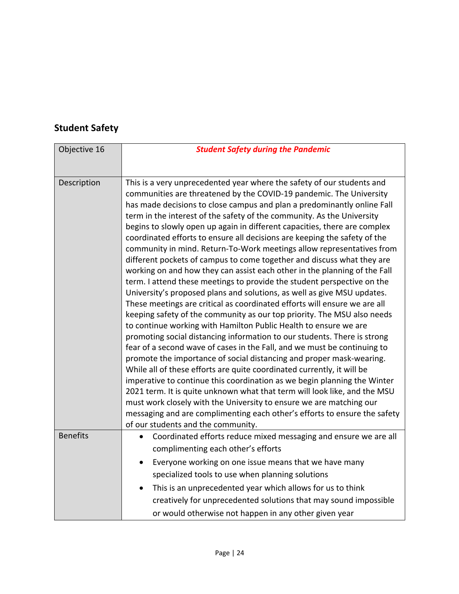## **Student Safety**

| Objective 16    | <b>Student Safety during the Pandemic</b>                                                                                                                                                                                                                                                                                                                                                                                                                                                                                                                                                                                                                                                                                                                                                                                                                                                                                                                                                                                                                                                                                                                                                                                                                                                                                                                                                                                                                                                                                                                                                                                                                                                                                                   |
|-----------------|---------------------------------------------------------------------------------------------------------------------------------------------------------------------------------------------------------------------------------------------------------------------------------------------------------------------------------------------------------------------------------------------------------------------------------------------------------------------------------------------------------------------------------------------------------------------------------------------------------------------------------------------------------------------------------------------------------------------------------------------------------------------------------------------------------------------------------------------------------------------------------------------------------------------------------------------------------------------------------------------------------------------------------------------------------------------------------------------------------------------------------------------------------------------------------------------------------------------------------------------------------------------------------------------------------------------------------------------------------------------------------------------------------------------------------------------------------------------------------------------------------------------------------------------------------------------------------------------------------------------------------------------------------------------------------------------------------------------------------------------|
|                 |                                                                                                                                                                                                                                                                                                                                                                                                                                                                                                                                                                                                                                                                                                                                                                                                                                                                                                                                                                                                                                                                                                                                                                                                                                                                                                                                                                                                                                                                                                                                                                                                                                                                                                                                             |
| Description     | This is a very unprecedented year where the safety of our students and<br>communities are threatened by the COVID-19 pandemic. The University<br>has made decisions to close campus and plan a predominantly online Fall<br>term in the interest of the safety of the community. As the University<br>begins to slowly open up again in different capacities, there are complex<br>coordinated efforts to ensure all decisions are keeping the safety of the<br>community in mind. Return-To-Work meetings allow representatives from<br>different pockets of campus to come together and discuss what they are<br>working on and how they can assist each other in the planning of the Fall<br>term. I attend these meetings to provide the student perspective on the<br>University's proposed plans and solutions, as well as give MSU updates.<br>These meetings are critical as coordinated efforts will ensure we are all<br>keeping safety of the community as our top priority. The MSU also needs<br>to continue working with Hamilton Public Health to ensure we are<br>promoting social distancing information to our students. There is strong<br>fear of a second wave of cases in the Fall, and we must be continuing to<br>promote the importance of social distancing and proper mask-wearing.<br>While all of these efforts are quite coordinated currently, it will be<br>imperative to continue this coordination as we begin planning the Winter<br>2021 term. It is quite unknown what that term will look like, and the MSU<br>must work closely with the University to ensure we are matching our<br>messaging and are complimenting each other's efforts to ensure the safety<br>of our students and the community. |
| <b>Benefits</b> | Coordinated efforts reduce mixed messaging and ensure we are all<br>complimenting each other's efforts                                                                                                                                                                                                                                                                                                                                                                                                                                                                                                                                                                                                                                                                                                                                                                                                                                                                                                                                                                                                                                                                                                                                                                                                                                                                                                                                                                                                                                                                                                                                                                                                                                      |
|                 | Everyone working on one issue means that we have many                                                                                                                                                                                                                                                                                                                                                                                                                                                                                                                                                                                                                                                                                                                                                                                                                                                                                                                                                                                                                                                                                                                                                                                                                                                                                                                                                                                                                                                                                                                                                                                                                                                                                       |
|                 |                                                                                                                                                                                                                                                                                                                                                                                                                                                                                                                                                                                                                                                                                                                                                                                                                                                                                                                                                                                                                                                                                                                                                                                                                                                                                                                                                                                                                                                                                                                                                                                                                                                                                                                                             |
|                 | specialized tools to use when planning solutions                                                                                                                                                                                                                                                                                                                                                                                                                                                                                                                                                                                                                                                                                                                                                                                                                                                                                                                                                                                                                                                                                                                                                                                                                                                                                                                                                                                                                                                                                                                                                                                                                                                                                            |
|                 | This is an unprecedented year which allows for us to think                                                                                                                                                                                                                                                                                                                                                                                                                                                                                                                                                                                                                                                                                                                                                                                                                                                                                                                                                                                                                                                                                                                                                                                                                                                                                                                                                                                                                                                                                                                                                                                                                                                                                  |
|                 | creatively for unprecedented solutions that may sound impossible                                                                                                                                                                                                                                                                                                                                                                                                                                                                                                                                                                                                                                                                                                                                                                                                                                                                                                                                                                                                                                                                                                                                                                                                                                                                                                                                                                                                                                                                                                                                                                                                                                                                            |
|                 | or would otherwise not happen in any other given year                                                                                                                                                                                                                                                                                                                                                                                                                                                                                                                                                                                                                                                                                                                                                                                                                                                                                                                                                                                                                                                                                                                                                                                                                                                                                                                                                                                                                                                                                                                                                                                                                                                                                       |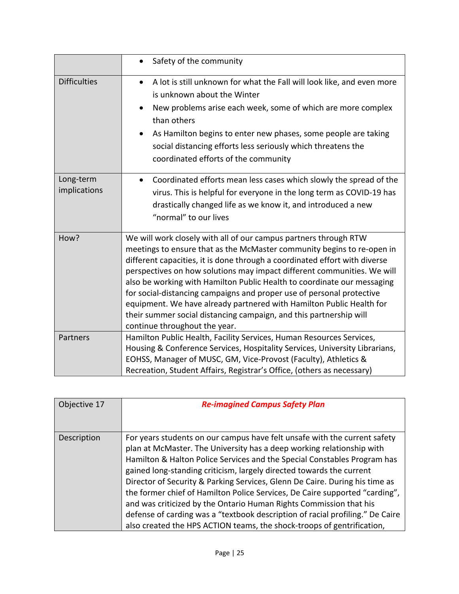|                           | Safety of the community<br>$\bullet$                                                                                                                                                                                                                                                                                                                                                                                                                                                                                                                                                                                                   |
|---------------------------|----------------------------------------------------------------------------------------------------------------------------------------------------------------------------------------------------------------------------------------------------------------------------------------------------------------------------------------------------------------------------------------------------------------------------------------------------------------------------------------------------------------------------------------------------------------------------------------------------------------------------------------|
| <b>Difficulties</b>       | A lot is still unknown for what the Fall will look like, and even more<br>$\bullet$<br>is unknown about the Winter<br>New problems arise each week, some of which are more complex<br>$\bullet$<br>than others<br>As Hamilton begins to enter new phases, some people are taking<br>$\bullet$<br>social distancing efforts less seriously which threatens the<br>coordinated efforts of the community                                                                                                                                                                                                                                  |
| Long-term<br>implications | Coordinated efforts mean less cases which slowly the spread of the<br>virus. This is helpful for everyone in the long term as COVID-19 has<br>drastically changed life as we know it, and introduced a new<br>"normal" to our lives                                                                                                                                                                                                                                                                                                                                                                                                    |
| How?                      | We will work closely with all of our campus partners through RTW<br>meetings to ensure that as the McMaster community begins to re-open in<br>different capacities, it is done through a coordinated effort with diverse<br>perspectives on how solutions may impact different communities. We will<br>also be working with Hamilton Public Health to coordinate our messaging<br>for social-distancing campaigns and proper use of personal protective<br>equipment. We have already partnered with Hamilton Public Health for<br>their summer social distancing campaign, and this partnership will<br>continue throughout the year. |
| Partners                  | Hamilton Public Health, Facility Services, Human Resources Services,<br>Housing & Conference Services, Hospitality Services, University Librarians,<br>EOHSS, Manager of MUSC, GM, Vice-Provost (Faculty), Athletics &<br>Recreation, Student Affairs, Registrar's Office, (others as necessary)                                                                                                                                                                                                                                                                                                                                       |

| Objective 17 | <b>Re-imagined Campus Safety Plan</b>                                                                                                                                                                                                                                                                                                                                                                                                                                                                                                                                                                                                                                                                 |
|--------------|-------------------------------------------------------------------------------------------------------------------------------------------------------------------------------------------------------------------------------------------------------------------------------------------------------------------------------------------------------------------------------------------------------------------------------------------------------------------------------------------------------------------------------------------------------------------------------------------------------------------------------------------------------------------------------------------------------|
|              |                                                                                                                                                                                                                                                                                                                                                                                                                                                                                                                                                                                                                                                                                                       |
| Description  | For years students on our campus have felt unsafe with the current safety<br>plan at McMaster. The University has a deep working relationship with<br>Hamilton & Halton Police Services and the Special Constables Program has<br>gained long-standing criticism, largely directed towards the current<br>Director of Security & Parking Services, Glenn De Caire. During his time as<br>the former chief of Hamilton Police Services, De Caire supported "carding",<br>and was criticized by the Ontario Human Rights Commission that his<br>defense of carding was a "textbook description of racial profiling." De Caire<br>also created the HPS ACTION teams, the shock-troops of gentrification, |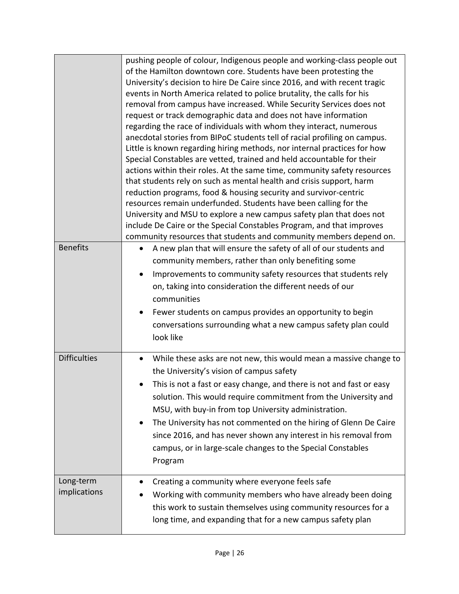| <b>Benefits</b>           | pushing people of colour, Indigenous people and working-class people out<br>of the Hamilton downtown core. Students have been protesting the<br>University's decision to hire De Caire since 2016, and with recent tragic<br>events in North America related to police brutality, the calls for his<br>removal from campus have increased. While Security Services does not<br>request or track demographic data and does not have information<br>regarding the race of individuals with whom they interact, numerous<br>anecdotal stories from BIPoC students tell of racial profiling on campus.<br>Little is known regarding hiring methods, nor internal practices for how<br>Special Constables are vetted, trained and held accountable for their<br>actions within their roles. At the same time, community safety resources<br>that students rely on such as mental health and crisis support, harm<br>reduction programs, food & housing security and survivor-centric<br>resources remain underfunded. Students have been calling for the<br>University and MSU to explore a new campus safety plan that does not<br>include De Caire or the Special Constables Program, and that improves<br>community resources that students and community members depend on.<br>A new plan that will ensure the safety of all of our students and<br>$\bullet$<br>community members, rather than only benefiting some<br>Improvements to community safety resources that students rely |
|---------------------------|--------------------------------------------------------------------------------------------------------------------------------------------------------------------------------------------------------------------------------------------------------------------------------------------------------------------------------------------------------------------------------------------------------------------------------------------------------------------------------------------------------------------------------------------------------------------------------------------------------------------------------------------------------------------------------------------------------------------------------------------------------------------------------------------------------------------------------------------------------------------------------------------------------------------------------------------------------------------------------------------------------------------------------------------------------------------------------------------------------------------------------------------------------------------------------------------------------------------------------------------------------------------------------------------------------------------------------------------------------------------------------------------------------------------------------------------------------------------------------------|
|                           | on, taking into consideration the different needs of our<br>communities<br>Fewer students on campus provides an opportunity to begin<br>$\bullet$<br>conversations surrounding what a new campus safety plan could<br>look like                                                                                                                                                                                                                                                                                                                                                                                                                                                                                                                                                                                                                                                                                                                                                                                                                                                                                                                                                                                                                                                                                                                                                                                                                                                      |
| <b>Difficulties</b>       | While these asks are not new, this would mean a massive change to<br>$\bullet$<br>the University's vision of campus safety<br>This is not a fast or easy change, and there is not and fast or easy<br>solution. This would require commitment from the University and<br>MSU, with buy-in from top University administration.<br>The University has not commented on the hiring of Glenn De Caire<br>$\bullet$<br>since 2016, and has never shown any interest in his removal from<br>campus, or in large-scale changes to the Special Constables<br>Program                                                                                                                                                                                                                                                                                                                                                                                                                                                                                                                                                                                                                                                                                                                                                                                                                                                                                                                         |
| Long-term<br>implications | Creating a community where everyone feels safe<br>$\bullet$<br>Working with community members who have already been doing<br>this work to sustain themselves using community resources for a<br>long time, and expanding that for a new campus safety plan                                                                                                                                                                                                                                                                                                                                                                                                                                                                                                                                                                                                                                                                                                                                                                                                                                                                                                                                                                                                                                                                                                                                                                                                                           |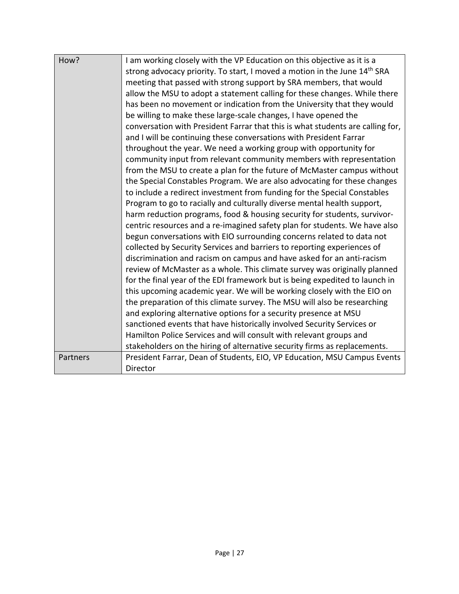| How?     | I am working closely with the VP Education on this objective as it is a               |
|----------|---------------------------------------------------------------------------------------|
|          | strong advocacy priority. To start, I moved a motion in the June 14 <sup>th</sup> SRA |
|          | meeting that passed with strong support by SRA members, that would                    |
|          | allow the MSU to adopt a statement calling for these changes. While there             |
|          | has been no movement or indication from the University that they would                |
|          | be willing to make these large-scale changes, I have opened the                       |
|          | conversation with President Farrar that this is what students are calling for,        |
|          | and I will be continuing these conversations with President Farrar                    |
|          | throughout the year. We need a working group with opportunity for                     |
|          | community input from relevant community members with representation                   |
|          | from the MSU to create a plan for the future of McMaster campus without               |
|          | the Special Constables Program. We are also advocating for these changes              |
|          | to include a redirect investment from funding for the Special Constables              |
|          | Program to go to racially and culturally diverse mental health support,               |
|          | harm reduction programs, food & housing security for students, survivor-              |
|          | centric resources and a re-imagined safety plan for students. We have also            |
|          | begun conversations with EIO surrounding concerns related to data not                 |
|          | collected by Security Services and barriers to reporting experiences of               |
|          | discrimination and racism on campus and have asked for an anti-racism                 |
|          | review of McMaster as a whole. This climate survey was originally planned             |
|          | for the final year of the EDI framework but is being expedited to launch in           |
|          | this upcoming academic year. We will be working closely with the EIO on               |
|          | the preparation of this climate survey. The MSU will also be researching              |
|          | and exploring alternative options for a security presence at MSU                      |
|          | sanctioned events that have historically involved Security Services or                |
|          | Hamilton Police Services and will consult with relevant groups and                    |
|          | stakeholders on the hiring of alternative security firms as replacements.             |
| Partners | President Farrar, Dean of Students, EIO, VP Education, MSU Campus Events              |
|          | Director                                                                              |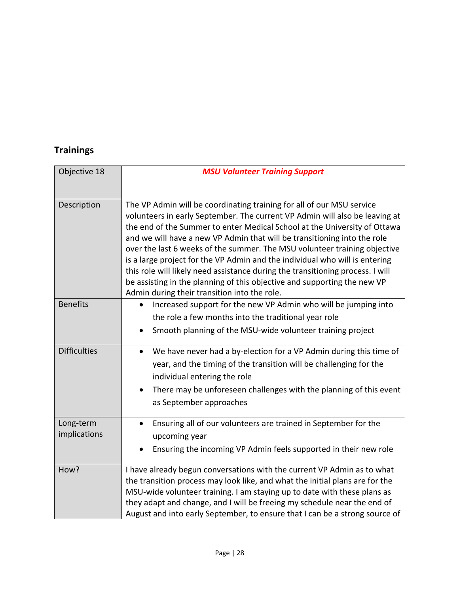## **Trainings**

| Objective 18              | <b>MSU Volunteer Training Support</b>                                                                                                                                                                                                                                                                                                                                                                                                                                                                                                                                                                                                                                                   |
|---------------------------|-----------------------------------------------------------------------------------------------------------------------------------------------------------------------------------------------------------------------------------------------------------------------------------------------------------------------------------------------------------------------------------------------------------------------------------------------------------------------------------------------------------------------------------------------------------------------------------------------------------------------------------------------------------------------------------------|
|                           |                                                                                                                                                                                                                                                                                                                                                                                                                                                                                                                                                                                                                                                                                         |
| Description               | The VP Admin will be coordinating training for all of our MSU service<br>volunteers in early September. The current VP Admin will also be leaving at<br>the end of the Summer to enter Medical School at the University of Ottawa<br>and we will have a new VP Admin that will be transitioning into the role<br>over the last 6 weeks of the summer. The MSU volunteer training objective<br>is a large project for the VP Admin and the individual who will is entering<br>this role will likely need assistance during the transitioning process. I will<br>be assisting in the planning of this objective and supporting the new VP<br>Admin during their transition into the role. |
| <b>Benefits</b>           | Increased support for the new VP Admin who will be jumping into<br>$\bullet$<br>the role a few months into the traditional year role<br>Smooth planning of the MSU-wide volunteer training project                                                                                                                                                                                                                                                                                                                                                                                                                                                                                      |
| <b>Difficulties</b>       | We have never had a by-election for a VP Admin during this time of<br>$\bullet$<br>year, and the timing of the transition will be challenging for the<br>individual entering the role<br>There may be unforeseen challenges with the planning of this event<br>$\bullet$<br>as September approaches                                                                                                                                                                                                                                                                                                                                                                                     |
| Long-term<br>implications | Ensuring all of our volunteers are trained in September for the<br>$\bullet$<br>upcoming year<br>Ensuring the incoming VP Admin feels supported in their new role                                                                                                                                                                                                                                                                                                                                                                                                                                                                                                                       |
| How?                      | I have already begun conversations with the current VP Admin as to what<br>the transition process may look like, and what the initial plans are for the<br>MSU-wide volunteer training. I am staying up to date with these plans as<br>they adapt and change, and I will be freeing my schedule near the end of<br>August and into early September, to ensure that I can be a strong source of                                                                                                                                                                                                                                                                                          |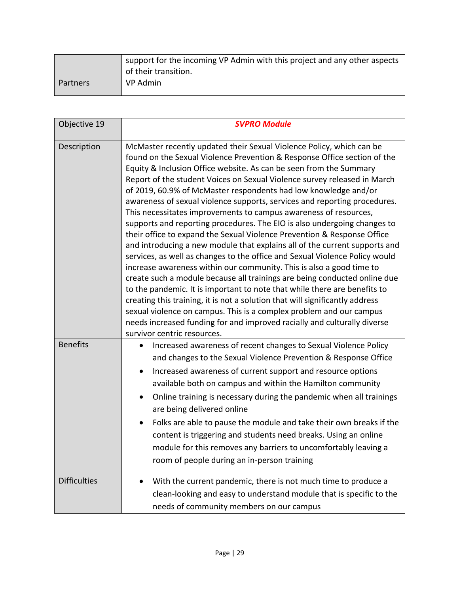|          | support for the incoming VP Admin with this project and any other aspects<br>of their transition. |
|----------|---------------------------------------------------------------------------------------------------|
| Partners | VP Admin                                                                                          |

| Objective 19        | <b>SVPRO Module</b>                                                                                                                                                                                                                                                                                                                                                                                                                                                                                                                                                                                                                                                                                                                                                                                                                                                                                                                                                                                                                                                                                                                                                                                                                                                                                                                            |
|---------------------|------------------------------------------------------------------------------------------------------------------------------------------------------------------------------------------------------------------------------------------------------------------------------------------------------------------------------------------------------------------------------------------------------------------------------------------------------------------------------------------------------------------------------------------------------------------------------------------------------------------------------------------------------------------------------------------------------------------------------------------------------------------------------------------------------------------------------------------------------------------------------------------------------------------------------------------------------------------------------------------------------------------------------------------------------------------------------------------------------------------------------------------------------------------------------------------------------------------------------------------------------------------------------------------------------------------------------------------------|
| Description         | McMaster recently updated their Sexual Violence Policy, which can be<br>found on the Sexual Violence Prevention & Response Office section of the<br>Equity & Inclusion Office website. As can be seen from the Summary<br>Report of the student Voices on Sexual Violence survey released in March<br>of 2019, 60.9% of McMaster respondents had low knowledge and/or<br>awareness of sexual violence supports, services and reporting procedures.<br>This necessitates improvements to campus awareness of resources,<br>supports and reporting procedures. The EIO is also undergoing changes to<br>their office to expand the Sexual Violence Prevention & Response Office<br>and introducing a new module that explains all of the current supports and<br>services, as well as changes to the office and Sexual Violence Policy would<br>increase awareness within our community. This is also a good time to<br>create such a module because all trainings are being conducted online due<br>to the pandemic. It is important to note that while there are benefits to<br>creating this training, it is not a solution that will significantly address<br>sexual violence on campus. This is a complex problem and our campus<br>needs increased funding for and improved racially and culturally diverse<br>survivor centric resources. |
| <b>Benefits</b>     | Increased awareness of recent changes to Sexual Violence Policy<br>and changes to the Sexual Violence Prevention & Response Office<br>Increased awareness of current support and resource options<br>available both on campus and within the Hamilton community<br>Online training is necessary during the pandemic when all trainings<br>are being delivered online<br>Folks are able to pause the module and take their own breaks if the<br>content is triggering and students need breaks. Using an online<br>module for this removes any barriers to uncomfortably leaving a<br>room of people during an in-person training                                                                                                                                                                                                                                                                                                                                                                                                                                                                                                                                                                                                                                                                                                               |
| <b>Difficulties</b> | With the current pandemic, there is not much time to produce a<br>clean-looking and easy to understand module that is specific to the<br>needs of community members on our campus                                                                                                                                                                                                                                                                                                                                                                                                                                                                                                                                                                                                                                                                                                                                                                                                                                                                                                                                                                                                                                                                                                                                                              |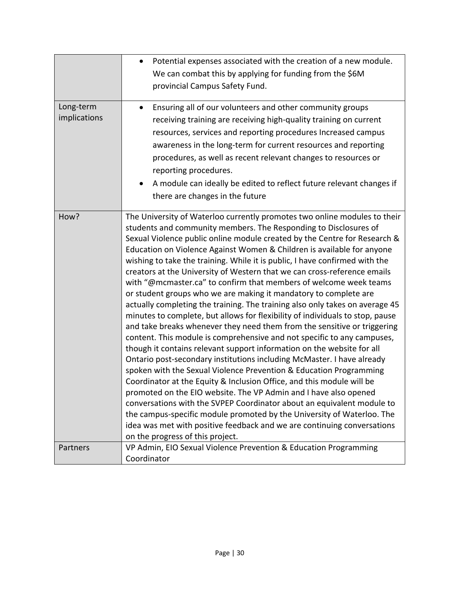|                           | Potential expenses associated with the creation of a new module.<br>$\bullet$<br>We can combat this by applying for funding from the \$6M<br>provincial Campus Safety Fund.                                                                                                                                                                                                                                                                                                                                                                                                                                                                                                                                                                                                                                                                                                                                                                                                                                                                                                                                                                                                                                                                                                                                                                                                                                                                                                                                                                                                |
|---------------------------|----------------------------------------------------------------------------------------------------------------------------------------------------------------------------------------------------------------------------------------------------------------------------------------------------------------------------------------------------------------------------------------------------------------------------------------------------------------------------------------------------------------------------------------------------------------------------------------------------------------------------------------------------------------------------------------------------------------------------------------------------------------------------------------------------------------------------------------------------------------------------------------------------------------------------------------------------------------------------------------------------------------------------------------------------------------------------------------------------------------------------------------------------------------------------------------------------------------------------------------------------------------------------------------------------------------------------------------------------------------------------------------------------------------------------------------------------------------------------------------------------------------------------------------------------------------------------|
| Long-term<br>implications | Ensuring all of our volunteers and other community groups<br>$\bullet$<br>receiving training are receiving high-quality training on current<br>resources, services and reporting procedures Increased campus<br>awareness in the long-term for current resources and reporting<br>procedures, as well as recent relevant changes to resources or<br>reporting procedures.<br>A module can ideally be edited to reflect future relevant changes if<br>there are changes in the future                                                                                                                                                                                                                                                                                                                                                                                                                                                                                                                                                                                                                                                                                                                                                                                                                                                                                                                                                                                                                                                                                       |
| How?                      | The University of Waterloo currently promotes two online modules to their<br>students and community members. The Responding to Disclosures of<br>Sexual Violence public online module created by the Centre for Research &<br>Education on Violence Against Women & Children is available for anyone<br>wishing to take the training. While it is public, I have confirmed with the<br>creators at the University of Western that we can cross-reference emails<br>with "@mcmaster.ca" to confirm that members of welcome week teams<br>or student groups who we are making it mandatory to complete are<br>actually completing the training. The training also only takes on average 45<br>minutes to complete, but allows for flexibility of individuals to stop, pause<br>and take breaks whenever they need them from the sensitive or triggering<br>content. This module is comprehensive and not specific to any campuses,<br>though it contains relevant support information on the website for all<br>Ontario post-secondary institutions including McMaster. I have already<br>spoken with the Sexual Violence Prevention & Education Programming<br>Coordinator at the Equity & Inclusion Office, and this module will be<br>promoted on the EIO website. The VP Admin and I have also opened<br>conversations with the SVPEP Coordinator about an equivalent module to<br>the campus-specific module promoted by the University of Waterloo. The<br>idea was met with positive feedback and we are continuing conversations<br>on the progress of this project. |
| Partners                  | VP Admin, EIO Sexual Violence Prevention & Education Programming<br>Coordinator                                                                                                                                                                                                                                                                                                                                                                                                                                                                                                                                                                                                                                                                                                                                                                                                                                                                                                                                                                                                                                                                                                                                                                                                                                                                                                                                                                                                                                                                                            |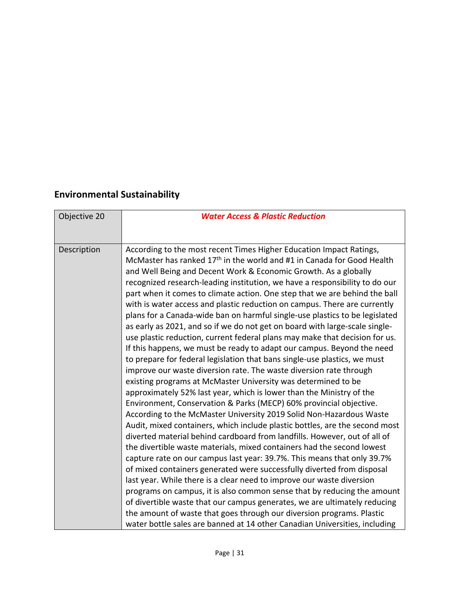## **Environmental Sustainability**

| Objective 20 | <b>Water Access &amp; Plastic Reduction</b>                                                                                                                                                                                                                                                                                                                                                                                                                                                                                                                                                                                                                                                                                                                                                                                                                                                                                                                                                                                                                                                                                                                                                                                                                                                                                                                                                                                                                                                                                                                                                                                                                                                                                                                                                                                                                                                                                                                                                                               |
|--------------|---------------------------------------------------------------------------------------------------------------------------------------------------------------------------------------------------------------------------------------------------------------------------------------------------------------------------------------------------------------------------------------------------------------------------------------------------------------------------------------------------------------------------------------------------------------------------------------------------------------------------------------------------------------------------------------------------------------------------------------------------------------------------------------------------------------------------------------------------------------------------------------------------------------------------------------------------------------------------------------------------------------------------------------------------------------------------------------------------------------------------------------------------------------------------------------------------------------------------------------------------------------------------------------------------------------------------------------------------------------------------------------------------------------------------------------------------------------------------------------------------------------------------------------------------------------------------------------------------------------------------------------------------------------------------------------------------------------------------------------------------------------------------------------------------------------------------------------------------------------------------------------------------------------------------------------------------------------------------------------------------------------------------|
|              |                                                                                                                                                                                                                                                                                                                                                                                                                                                                                                                                                                                                                                                                                                                                                                                                                                                                                                                                                                                                                                                                                                                                                                                                                                                                                                                                                                                                                                                                                                                                                                                                                                                                                                                                                                                                                                                                                                                                                                                                                           |
| Description  | According to the most recent Times Higher Education Impact Ratings,<br>McMaster has ranked 17 <sup>th</sup> in the world and #1 in Canada for Good Health<br>and Well Being and Decent Work & Economic Growth. As a globally<br>recognized research-leading institution, we have a responsibility to do our<br>part when it comes to climate action. One step that we are behind the ball<br>with is water access and plastic reduction on campus. There are currently<br>plans for a Canada-wide ban on harmful single-use plastics to be legislated<br>as early as 2021, and so if we do not get on board with large-scale single-<br>use plastic reduction, current federal plans may make that decision for us.<br>If this happens, we must be ready to adapt our campus. Beyond the need<br>to prepare for federal legislation that bans single-use plastics, we must<br>improve our waste diversion rate. The waste diversion rate through<br>existing programs at McMaster University was determined to be<br>approximately 52% last year, which is lower than the Ministry of the<br>Environment, Conservation & Parks (MECP) 60% provincial objective.<br>According to the McMaster University 2019 Solid Non-Hazardous Waste<br>Audit, mixed containers, which include plastic bottles, are the second most<br>diverted material behind cardboard from landfills. However, out of all of<br>the divertible waste materials, mixed containers had the second lowest<br>capture rate on our campus last year: 39.7%. This means that only 39.7%<br>of mixed containers generated were successfully diverted from disposal<br>last year. While there is a clear need to improve our waste diversion<br>programs on campus, it is also common sense that by reducing the amount<br>of divertible waste that our campus generates, we are ultimately reducing<br>the amount of waste that goes through our diversion programs. Plastic<br>water bottle sales are banned at 14 other Canadian Universities, including |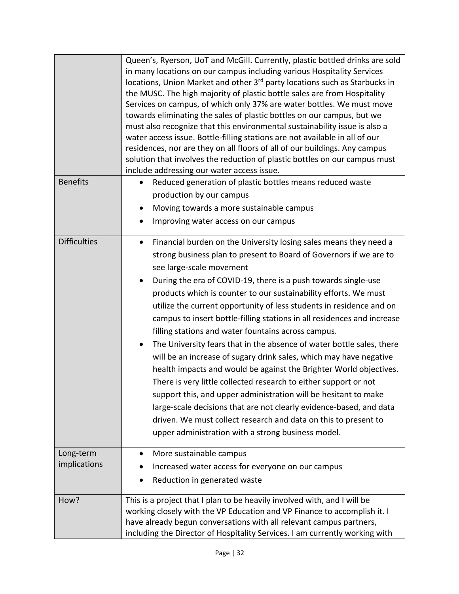|                     | Queen's, Ryerson, UoT and McGill. Currently, plastic bottled drinks are sold<br>in many locations on our campus including various Hospitality Services<br>locations, Union Market and other 3 <sup>rd</sup> party locations such as Starbucks in<br>the MUSC. The high majority of plastic bottle sales are from Hospitality<br>Services on campus, of which only 37% are water bottles. We must move<br>towards eliminating the sales of plastic bottles on our campus, but we<br>must also recognize that this environmental sustainability issue is also a<br>water access issue. Bottle-filling stations are not available in all of our<br>residences, nor are they on all floors of all of our buildings. Any campus<br>solution that involves the reduction of plastic bottles on our campus must<br>include addressing our water access issue.                                                                                                                           |
|---------------------|----------------------------------------------------------------------------------------------------------------------------------------------------------------------------------------------------------------------------------------------------------------------------------------------------------------------------------------------------------------------------------------------------------------------------------------------------------------------------------------------------------------------------------------------------------------------------------------------------------------------------------------------------------------------------------------------------------------------------------------------------------------------------------------------------------------------------------------------------------------------------------------------------------------------------------------------------------------------------------|
| <b>Benefits</b>     | Reduced generation of plastic bottles means reduced waste<br>$\bullet$                                                                                                                                                                                                                                                                                                                                                                                                                                                                                                                                                                                                                                                                                                                                                                                                                                                                                                           |
|                     | production by our campus                                                                                                                                                                                                                                                                                                                                                                                                                                                                                                                                                                                                                                                                                                                                                                                                                                                                                                                                                         |
|                     | Moving towards a more sustainable campus<br>$\bullet$                                                                                                                                                                                                                                                                                                                                                                                                                                                                                                                                                                                                                                                                                                                                                                                                                                                                                                                            |
|                     | Improving water access on our campus<br>$\bullet$                                                                                                                                                                                                                                                                                                                                                                                                                                                                                                                                                                                                                                                                                                                                                                                                                                                                                                                                |
| <b>Difficulties</b> | Financial burden on the University losing sales means they need a<br>$\bullet$<br>strong business plan to present to Board of Governors if we are to<br>see large-scale movement<br>During the era of COVID-19, there is a push towards single-use<br>products which is counter to our sustainability efforts. We must<br>utilize the current opportunity of less students in residence and on<br>campus to insert bottle-filling stations in all residences and increase<br>filling stations and water fountains across campus.<br>The University fears that in the absence of water bottle sales, there<br>$\bullet$<br>will be an increase of sugary drink sales, which may have negative<br>health impacts and would be against the Brighter World objectives.<br>There is very little collected research to either support or not<br>support this, and upper administration will be hesitant to make<br>large-scale decisions that are not clearly evidence-based, and data |
|                     | driven. We must collect research and data on this to present to<br>upper administration with a strong business model.                                                                                                                                                                                                                                                                                                                                                                                                                                                                                                                                                                                                                                                                                                                                                                                                                                                            |
| Long-term           | More sustainable campus<br>$\bullet$                                                                                                                                                                                                                                                                                                                                                                                                                                                                                                                                                                                                                                                                                                                                                                                                                                                                                                                                             |
| implications        | Increased water access for everyone on our campus                                                                                                                                                                                                                                                                                                                                                                                                                                                                                                                                                                                                                                                                                                                                                                                                                                                                                                                                |
|                     | Reduction in generated waste                                                                                                                                                                                                                                                                                                                                                                                                                                                                                                                                                                                                                                                                                                                                                                                                                                                                                                                                                     |
| How?                | This is a project that I plan to be heavily involved with, and I will be<br>working closely with the VP Education and VP Finance to accomplish it. I<br>have already begun conversations with all relevant campus partners,<br>including the Director of Hospitality Services. I am currently working with                                                                                                                                                                                                                                                                                                                                                                                                                                                                                                                                                                                                                                                                       |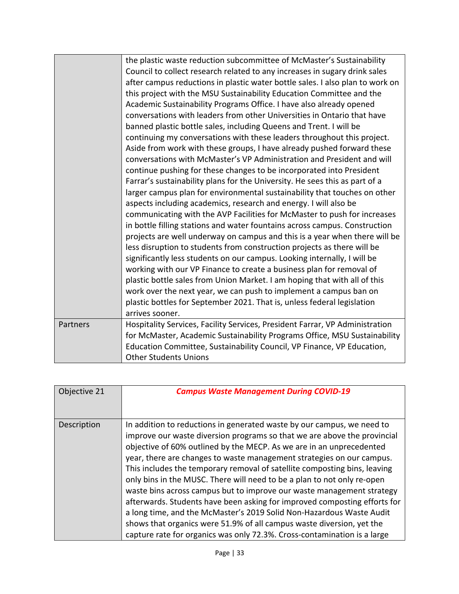|          | the plastic waste reduction subcommittee of McMaster's Sustainability<br>Council to collect research related to any increases in sugary drink sales<br>after campus reductions in plastic water bottle sales. I also plan to work on<br>this project with the MSU Sustainability Education Committee and the<br>Academic Sustainability Programs Office. I have also already opened<br>conversations with leaders from other Universities in Ontario that have<br>banned plastic bottle sales, including Queens and Trent. I will be<br>continuing my conversations with these leaders throughout this project.<br>Aside from work with these groups, I have already pushed forward these<br>conversations with McMaster's VP Administration and President and will<br>continue pushing for these changes to be incorporated into President<br>Farrar's sustainability plans for the University. He sees this as part of a<br>larger campus plan for environmental sustainability that touches on other<br>aspects including academics, research and energy. I will also be<br>communicating with the AVP Facilities for McMaster to push for increases<br>in bottle filling stations and water fountains across campus. Construction<br>projects are well underway on campus and this is a year when there will be<br>less disruption to students from construction projects as there will be<br>significantly less students on our campus. Looking internally, I will be<br>working with our VP Finance to create a business plan for removal of<br>plastic bottle sales from Union Market. I am hoping that with all of this |
|----------|---------------------------------------------------------------------------------------------------------------------------------------------------------------------------------------------------------------------------------------------------------------------------------------------------------------------------------------------------------------------------------------------------------------------------------------------------------------------------------------------------------------------------------------------------------------------------------------------------------------------------------------------------------------------------------------------------------------------------------------------------------------------------------------------------------------------------------------------------------------------------------------------------------------------------------------------------------------------------------------------------------------------------------------------------------------------------------------------------------------------------------------------------------------------------------------------------------------------------------------------------------------------------------------------------------------------------------------------------------------------------------------------------------------------------------------------------------------------------------------------------------------------------------------------------------------------------------------------------------------------------------|
|          | work over the next year, we can push to implement a campus ban on<br>plastic bottles for September 2021. That is, unless federal legislation<br>arrives sooner.                                                                                                                                                                                                                                                                                                                                                                                                                                                                                                                                                                                                                                                                                                                                                                                                                                                                                                                                                                                                                                                                                                                                                                                                                                                                                                                                                                                                                                                                 |
| Partners | Hospitality Services, Facility Services, President Farrar, VP Administration<br>for McMaster, Academic Sustainability Programs Office, MSU Sustainability<br>Education Committee, Sustainability Council, VP Finance, VP Education,<br><b>Other Students Unions</b>                                                                                                                                                                                                                                                                                                                                                                                                                                                                                                                                                                                                                                                                                                                                                                                                                                                                                                                                                                                                                                                                                                                                                                                                                                                                                                                                                             |

| Objective 21 | <b>Campus Waste Management During COVID-19</b>                                                                                                                                                                                                                                                                                                                                                                                                                                                                                                                                                                                                                                                                                                                                                                                                 |
|--------------|------------------------------------------------------------------------------------------------------------------------------------------------------------------------------------------------------------------------------------------------------------------------------------------------------------------------------------------------------------------------------------------------------------------------------------------------------------------------------------------------------------------------------------------------------------------------------------------------------------------------------------------------------------------------------------------------------------------------------------------------------------------------------------------------------------------------------------------------|
|              |                                                                                                                                                                                                                                                                                                                                                                                                                                                                                                                                                                                                                                                                                                                                                                                                                                                |
| Description  | In addition to reductions in generated waste by our campus, we need to<br>improve our waste diversion programs so that we are above the provincial<br>objective of 60% outlined by the MECP. As we are in an unprecedented<br>year, there are changes to waste management strategies on our campus.<br>This includes the temporary removal of satellite composting bins, leaving<br>only bins in the MUSC. There will need to be a plan to not only re-open<br>waste bins across campus but to improve our waste management strategy<br>afterwards. Students have been asking for improved composting efforts for<br>a long time, and the McMaster's 2019 Solid Non-Hazardous Waste Audit<br>shows that organics were 51.9% of all campus waste diversion, yet the<br>capture rate for organics was only 72.3%. Cross-contamination is a large |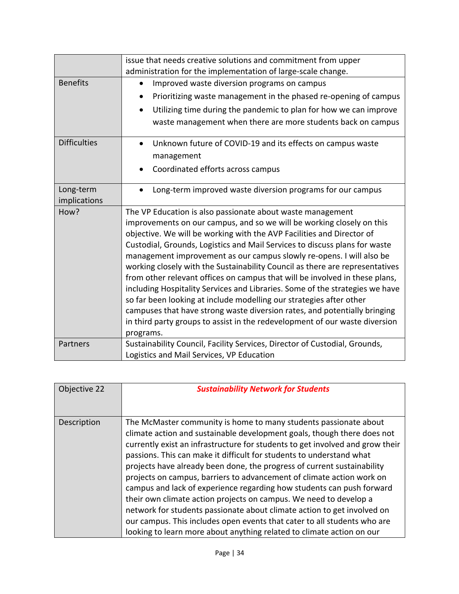|                     | issue that needs creative solutions and commitment from upper<br>administration for the implementation of large-scale change. |
|---------------------|-------------------------------------------------------------------------------------------------------------------------------|
| <b>Benefits</b>     | Improved waste diversion programs on campus<br>$\bullet$                                                                      |
|                     |                                                                                                                               |
|                     | Prioritizing waste management in the phased re-opening of campus                                                              |
|                     | Utilizing time during the pandemic to plan for how we can improve                                                             |
|                     | waste management when there are more students back on campus                                                                  |
| <b>Difficulties</b> | Unknown future of COVID-19 and its effects on campus waste<br>$\bullet$                                                       |
|                     | management                                                                                                                    |
|                     | Coordinated efforts across campus                                                                                             |
|                     |                                                                                                                               |
| Long-term           | Long-term improved waste diversion programs for our campus                                                                    |
| implications        |                                                                                                                               |
| How?                | The VP Education is also passionate about waste management                                                                    |
|                     | improvements on our campus, and so we will be working closely on this                                                         |
|                     | objective. We will be working with the AVP Facilities and Director of                                                         |
|                     | Custodial, Grounds, Logistics and Mail Services to discuss plans for waste                                                    |
|                     | management improvement as our campus slowly re-opens. I will also be                                                          |
|                     | working closely with the Sustainability Council as there are representatives                                                  |
|                     | from other relevant offices on campus that will be involved in these plans,                                                   |
|                     | including Hospitality Services and Libraries. Some of the strategies we have                                                  |
|                     | so far been looking at include modelling our strategies after other                                                           |
|                     | campuses that have strong waste diversion rates, and potentially bringing                                                     |
|                     | in third party groups to assist in the redevelopment of our waste diversion                                                   |
|                     | programs.                                                                                                                     |
| Partners            | Sustainability Council, Facility Services, Director of Custodial, Grounds,                                                    |
|                     | Logistics and Mail Services, VP Education                                                                                     |
|                     |                                                                                                                               |

| Objective 22 | <b>Sustainability Network for Students</b>                                    |
|--------------|-------------------------------------------------------------------------------|
|              |                                                                               |
|              |                                                                               |
| Description  | The McMaster community is home to many students passionate about              |
|              | climate action and sustainable development goals, though there does not       |
|              | currently exist an infrastructure for students to get involved and grow their |
|              | passions. This can make it difficult for students to understand what          |
|              | projects have already been done, the progress of current sustainability       |
|              | projects on campus, barriers to advancement of climate action work on         |
|              | campus and lack of experience regarding how students can push forward         |
|              | their own climate action projects on campus. We need to develop a             |
|              | network for students passionate about climate action to get involved on       |
|              | our campus. This includes open events that cater to all students who are      |
|              | looking to learn more about anything related to climate action on our         |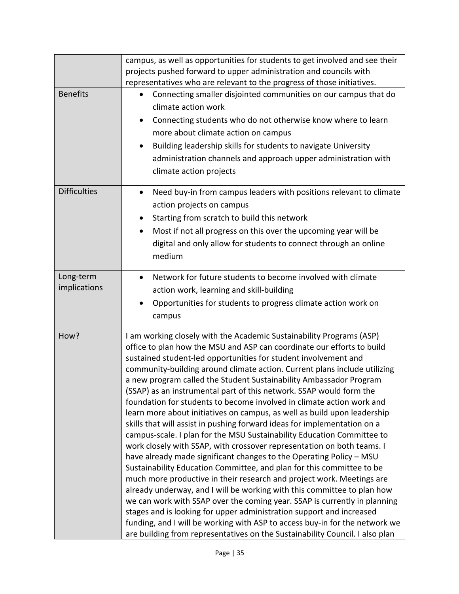|                           | campus, as well as opportunities for students to get involved and see their<br>projects pushed forward to upper administration and councils with<br>representatives who are relevant to the progress of those initiatives.                                                                                                                                                                                                                                                                                                                                                                                                                                                                                                                                                                                                                                                                                                                                                                                                                                                                                                                                                                                                                                                                                                                                                                                                                               |
|---------------------------|----------------------------------------------------------------------------------------------------------------------------------------------------------------------------------------------------------------------------------------------------------------------------------------------------------------------------------------------------------------------------------------------------------------------------------------------------------------------------------------------------------------------------------------------------------------------------------------------------------------------------------------------------------------------------------------------------------------------------------------------------------------------------------------------------------------------------------------------------------------------------------------------------------------------------------------------------------------------------------------------------------------------------------------------------------------------------------------------------------------------------------------------------------------------------------------------------------------------------------------------------------------------------------------------------------------------------------------------------------------------------------------------------------------------------------------------------------|
| <b>Benefits</b>           | Connecting smaller disjointed communities on our campus that do<br>$\bullet$<br>climate action work<br>Connecting students who do not otherwise know where to learn<br>$\bullet$<br>more about climate action on campus<br>Building leadership skills for students to navigate University<br>$\bullet$<br>administration channels and approach upper administration with<br>climate action projects                                                                                                                                                                                                                                                                                                                                                                                                                                                                                                                                                                                                                                                                                                                                                                                                                                                                                                                                                                                                                                                      |
| <b>Difficulties</b>       | Need buy-in from campus leaders with positions relevant to climate<br>$\bullet$<br>action projects on campus<br>Starting from scratch to build this network<br>٠<br>Most if not all progress on this over the upcoming year will be<br>$\bullet$<br>digital and only allow for students to connect through an online<br>medium                                                                                                                                                                                                                                                                                                                                                                                                                                                                                                                                                                                                                                                                                                                                                                                                                                                                                                                                                                                                                                                                                                                           |
| Long-term<br>implications | Network for future students to become involved with climate<br>action work, learning and skill-building<br>Opportunities for students to progress climate action work on<br>$\bullet$<br>campus                                                                                                                                                                                                                                                                                                                                                                                                                                                                                                                                                                                                                                                                                                                                                                                                                                                                                                                                                                                                                                                                                                                                                                                                                                                          |
| How?                      | I am working closely with the Academic Sustainability Programs (ASP)<br>office to plan how the MSU and ASP can coordinate our efforts to build<br>sustained student-led opportunities for student involvement and<br>community-building around climate action. Current plans include utilizing<br>a new program called the Student Sustainability Ambassador Program<br>(SSAP) as an instrumental part of this network. SSAP would form the<br>foundation for students to become involved in climate action work and<br>learn more about initiatives on campus, as well as build upon leadership<br>skills that will assist in pushing forward ideas for implementation on a<br>campus-scale. I plan for the MSU Sustainability Education Committee to<br>work closely with SSAP, with crossover representation on both teams. I<br>have already made significant changes to the Operating Policy - MSU<br>Sustainability Education Committee, and plan for this committee to be<br>much more productive in their research and project work. Meetings are<br>already underway, and I will be working with this committee to plan how<br>we can work with SSAP over the coming year. SSAP is currently in planning<br>stages and is looking for upper administration support and increased<br>funding, and I will be working with ASP to access buy-in for the network we<br>are building from representatives on the Sustainability Council. I also plan |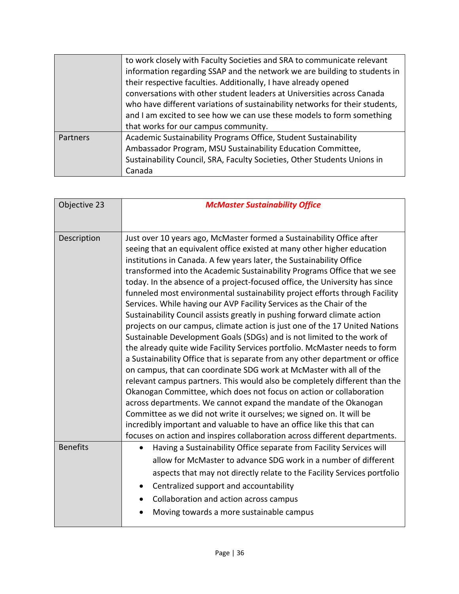|          | to work closely with Faculty Societies and SRA to communicate relevant<br>information regarding SSAP and the network we are building to students in<br>their respective faculties. Additionally, I have already opened<br>conversations with other student leaders at Universities across Canada<br>who have different variations of sustainability networks for their students,<br>and I am excited to see how we can use these models to form something<br>that works for our campus community. |
|----------|---------------------------------------------------------------------------------------------------------------------------------------------------------------------------------------------------------------------------------------------------------------------------------------------------------------------------------------------------------------------------------------------------------------------------------------------------------------------------------------------------|
| Partners | Academic Sustainability Programs Office, Student Sustainability<br>Ambassador Program, MSU Sustainability Education Committee,<br>Sustainability Council, SRA, Faculty Societies, Other Students Unions in<br>Canada                                                                                                                                                                                                                                                                              |

| Objective 23    | <b>McMaster Sustainability Office</b>                                                                                                                                                                                                                                                                                                                                                                                                                                                                                                                                                                                                                                                                                                                                                                                                                                                                                                                                                                                                                                                                                                                                                                                                                                                                                                                                                                                                                                         |
|-----------------|-------------------------------------------------------------------------------------------------------------------------------------------------------------------------------------------------------------------------------------------------------------------------------------------------------------------------------------------------------------------------------------------------------------------------------------------------------------------------------------------------------------------------------------------------------------------------------------------------------------------------------------------------------------------------------------------------------------------------------------------------------------------------------------------------------------------------------------------------------------------------------------------------------------------------------------------------------------------------------------------------------------------------------------------------------------------------------------------------------------------------------------------------------------------------------------------------------------------------------------------------------------------------------------------------------------------------------------------------------------------------------------------------------------------------------------------------------------------------------|
|                 |                                                                                                                                                                                                                                                                                                                                                                                                                                                                                                                                                                                                                                                                                                                                                                                                                                                                                                                                                                                                                                                                                                                                                                                                                                                                                                                                                                                                                                                                               |
| Description     | Just over 10 years ago, McMaster formed a Sustainability Office after<br>seeing that an equivalent office existed at many other higher education<br>institutions in Canada. A few years later, the Sustainability Office<br>transformed into the Academic Sustainability Programs Office that we see<br>today. In the absence of a project-focused office, the University has since<br>funneled most environmental sustainability project efforts through Facility<br>Services. While having our AVP Facility Services as the Chair of the<br>Sustainability Council assists greatly in pushing forward climate action<br>projects on our campus, climate action is just one of the 17 United Nations<br>Sustainable Development Goals (SDGs) and is not limited to the work of<br>the already quite wide Facility Services portfolio. McMaster needs to form<br>a Sustainability Office that is separate from any other department or office<br>on campus, that can coordinate SDG work at McMaster with all of the<br>relevant campus partners. This would also be completely different than the<br>Okanogan Committee, which does not focus on action or collaboration<br>across departments. We cannot expand the mandate of the Okanogan<br>Committee as we did not write it ourselves; we signed on. It will be<br>incredibly important and valuable to have an office like this that can<br>focuses on action and inspires collaboration across different departments. |
| <b>Benefits</b> | Having a Sustainability Office separate from Facility Services will                                                                                                                                                                                                                                                                                                                                                                                                                                                                                                                                                                                                                                                                                                                                                                                                                                                                                                                                                                                                                                                                                                                                                                                                                                                                                                                                                                                                           |
|                 | allow for McMaster to advance SDG work in a number of different<br>aspects that may not directly relate to the Facility Services portfolio                                                                                                                                                                                                                                                                                                                                                                                                                                                                                                                                                                                                                                                                                                                                                                                                                                                                                                                                                                                                                                                                                                                                                                                                                                                                                                                                    |
|                 | Centralized support and accountability                                                                                                                                                                                                                                                                                                                                                                                                                                                                                                                                                                                                                                                                                                                                                                                                                                                                                                                                                                                                                                                                                                                                                                                                                                                                                                                                                                                                                                        |
|                 | Collaboration and action across campus                                                                                                                                                                                                                                                                                                                                                                                                                                                                                                                                                                                                                                                                                                                                                                                                                                                                                                                                                                                                                                                                                                                                                                                                                                                                                                                                                                                                                                        |
|                 | Moving towards a more sustainable campus                                                                                                                                                                                                                                                                                                                                                                                                                                                                                                                                                                                                                                                                                                                                                                                                                                                                                                                                                                                                                                                                                                                                                                                                                                                                                                                                                                                                                                      |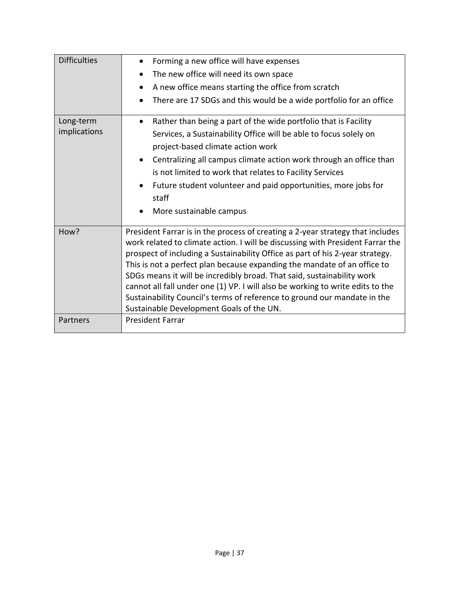| <b>Difficulties</b>       | Forming a new office will have expenses<br>$\bullet$                                                                                                                                                                                                                                                                                                                                                                                                                                                                                                                                                              |
|---------------------------|-------------------------------------------------------------------------------------------------------------------------------------------------------------------------------------------------------------------------------------------------------------------------------------------------------------------------------------------------------------------------------------------------------------------------------------------------------------------------------------------------------------------------------------------------------------------------------------------------------------------|
|                           | The new office will need its own space                                                                                                                                                                                                                                                                                                                                                                                                                                                                                                                                                                            |
|                           | A new office means starting the office from scratch                                                                                                                                                                                                                                                                                                                                                                                                                                                                                                                                                               |
|                           | There are 17 SDGs and this would be a wide portfolio for an office                                                                                                                                                                                                                                                                                                                                                                                                                                                                                                                                                |
| Long-term<br>implications | Rather than being a part of the wide portfolio that is Facility<br>$\bullet$<br>Services, a Sustainability Office will be able to focus solely on<br>project-based climate action work<br>Centralizing all campus climate action work through an office than<br>$\bullet$<br>is not limited to work that relates to Facility Services<br>Future student volunteer and paid opportunities, more jobs for<br>staff<br>More sustainable campus<br>$\bullet$                                                                                                                                                          |
|                           |                                                                                                                                                                                                                                                                                                                                                                                                                                                                                                                                                                                                                   |
| How?                      | President Farrar is in the process of creating a 2-year strategy that includes<br>work related to climate action. I will be discussing with President Farrar the<br>prospect of including a Sustainability Office as part of his 2-year strategy.<br>This is not a perfect plan because expanding the mandate of an office to<br>SDGs means it will be incredibly broad. That said, sustainability work<br>cannot all fall under one (1) VP. I will also be working to write edits to the<br>Sustainability Council's terms of reference to ground our mandate in the<br>Sustainable Development Goals of the UN. |
| Partners                  | <b>President Farrar</b>                                                                                                                                                                                                                                                                                                                                                                                                                                                                                                                                                                                           |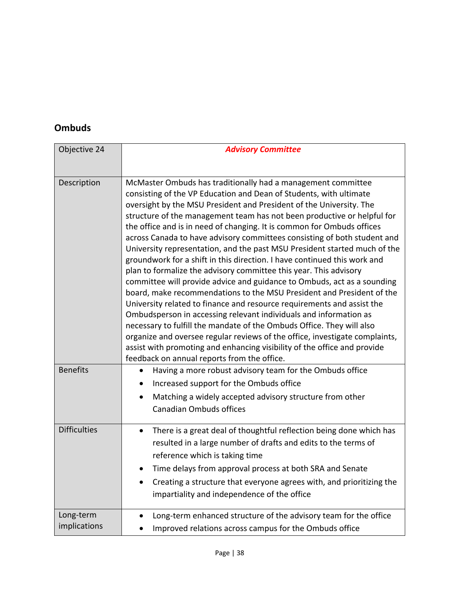#### **Ombuds**

| Objective 24              | <b>Advisory Committee</b>                                                                                                                                                                                                                                                                                                                                                                                                                                                                                                                                                                                                                                                                                                                                                                                                                                                                                                                                                                                                                                                                                                                                                                                                                                      |
|---------------------------|----------------------------------------------------------------------------------------------------------------------------------------------------------------------------------------------------------------------------------------------------------------------------------------------------------------------------------------------------------------------------------------------------------------------------------------------------------------------------------------------------------------------------------------------------------------------------------------------------------------------------------------------------------------------------------------------------------------------------------------------------------------------------------------------------------------------------------------------------------------------------------------------------------------------------------------------------------------------------------------------------------------------------------------------------------------------------------------------------------------------------------------------------------------------------------------------------------------------------------------------------------------|
|                           |                                                                                                                                                                                                                                                                                                                                                                                                                                                                                                                                                                                                                                                                                                                                                                                                                                                                                                                                                                                                                                                                                                                                                                                                                                                                |
| Description               | McMaster Ombuds has traditionally had a management committee<br>consisting of the VP Education and Dean of Students, with ultimate<br>oversight by the MSU President and President of the University. The<br>structure of the management team has not been productive or helpful for<br>the office and is in need of changing. It is common for Ombuds offices<br>across Canada to have advisory committees consisting of both student and<br>University representation, and the past MSU President started much of the<br>groundwork for a shift in this direction. I have continued this work and<br>plan to formalize the advisory committee this year. This advisory<br>committee will provide advice and guidance to Ombuds, act as a sounding<br>board, make recommendations to the MSU President and President of the<br>University related to finance and resource requirements and assist the<br>Ombudsperson in accessing relevant individuals and information as<br>necessary to fulfill the mandate of the Ombuds Office. They will also<br>organize and oversee regular reviews of the office, investigate complaints,<br>assist with promoting and enhancing visibility of the office and provide<br>feedback on annual reports from the office. |
| <b>Benefits</b>           | Having a more robust advisory team for the Ombuds office<br>Increased support for the Ombuds office<br>Matching a widely accepted advisory structure from other<br>$\bullet$<br><b>Canadian Ombuds offices</b>                                                                                                                                                                                                                                                                                                                                                                                                                                                                                                                                                                                                                                                                                                                                                                                                                                                                                                                                                                                                                                                 |
| <b>Difficulties</b>       | There is a great deal of thoughtful reflection being done which has<br>$\bullet$<br>resulted in a large number of drafts and edits to the terms of<br>reference which is taking time<br>Time delays from approval process at both SRA and Senate<br>Creating a structure that everyone agrees with, and prioritizing the<br>$\bullet$<br>impartiality and independence of the office                                                                                                                                                                                                                                                                                                                                                                                                                                                                                                                                                                                                                                                                                                                                                                                                                                                                           |
| Long-term<br>implications | Long-term enhanced structure of the advisory team for the office<br>Improved relations across campus for the Ombuds office                                                                                                                                                                                                                                                                                                                                                                                                                                                                                                                                                                                                                                                                                                                                                                                                                                                                                                                                                                                                                                                                                                                                     |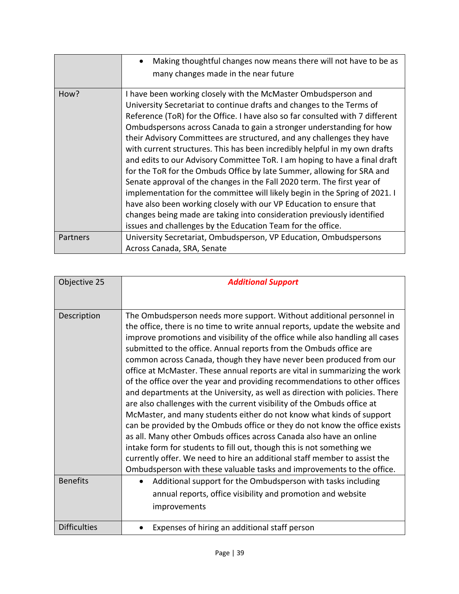|          | Making thoughtful changes now means there will not have to be as<br>$\bullet$<br>many changes made in the near future                                                                                                                                                                                                                                                                                                                                                                                                                                                                                                                                                                                                                                                                                                                                                                                                                                                                      |
|----------|--------------------------------------------------------------------------------------------------------------------------------------------------------------------------------------------------------------------------------------------------------------------------------------------------------------------------------------------------------------------------------------------------------------------------------------------------------------------------------------------------------------------------------------------------------------------------------------------------------------------------------------------------------------------------------------------------------------------------------------------------------------------------------------------------------------------------------------------------------------------------------------------------------------------------------------------------------------------------------------------|
| How?     | I have been working closely with the McMaster Ombudsperson and<br>University Secretariat to continue drafts and changes to the Terms of<br>Reference (ToR) for the Office. I have also so far consulted with 7 different<br>Ombudspersons across Canada to gain a stronger understanding for how<br>their Advisory Committees are structured, and any challenges they have<br>with current structures. This has been incredibly helpful in my own drafts<br>and edits to our Advisory Committee ToR. I am hoping to have a final draft<br>for the ToR for the Ombuds Office by late Summer, allowing for SRA and<br>Senate approval of the changes in the Fall 2020 term. The first year of<br>implementation for the committee will likely begin in the Spring of 2021. I<br>have also been working closely with our VP Education to ensure that<br>changes being made are taking into consideration previously identified<br>issues and challenges by the Education Team for the office. |
| Partners | University Secretariat, Ombudsperson, VP Education, Ombudspersons<br>Across Canada, SRA, Senate                                                                                                                                                                                                                                                                                                                                                                                                                                                                                                                                                                                                                                                                                                                                                                                                                                                                                            |

| Objective 25        | <b>Additional Support</b>                                                                                                                                                                                                                                                                                                                                                                                                                                                                                                                                                                                                                                                                                                                                                                                                                                                                                                                                                                                                                                                                                                                                              |
|---------------------|------------------------------------------------------------------------------------------------------------------------------------------------------------------------------------------------------------------------------------------------------------------------------------------------------------------------------------------------------------------------------------------------------------------------------------------------------------------------------------------------------------------------------------------------------------------------------------------------------------------------------------------------------------------------------------------------------------------------------------------------------------------------------------------------------------------------------------------------------------------------------------------------------------------------------------------------------------------------------------------------------------------------------------------------------------------------------------------------------------------------------------------------------------------------|
|                     |                                                                                                                                                                                                                                                                                                                                                                                                                                                                                                                                                                                                                                                                                                                                                                                                                                                                                                                                                                                                                                                                                                                                                                        |
| Description         | The Ombudsperson needs more support. Without additional personnel in<br>the office, there is no time to write annual reports, update the website and<br>improve promotions and visibility of the office while also handling all cases<br>submitted to the office. Annual reports from the Ombuds office are<br>common across Canada, though they have never been produced from our<br>office at McMaster. These annual reports are vital in summarizing the work<br>of the office over the year and providing recommendations to other offices<br>and departments at the University, as well as direction with policies. There<br>are also challenges with the current visibility of the Ombuds office at<br>McMaster, and many students either do not know what kinds of support<br>can be provided by the Ombuds office or they do not know the office exists<br>as all. Many other Ombuds offices across Canada also have an online<br>intake form for students to fill out, though this is not something we<br>currently offer. We need to hire an additional staff member to assist the<br>Ombudsperson with these valuable tasks and improvements to the office. |
| <b>Benefits</b>     | Additional support for the Ombudsperson with tasks including<br>٠<br>annual reports, office visibility and promotion and website<br>improvements                                                                                                                                                                                                                                                                                                                                                                                                                                                                                                                                                                                                                                                                                                                                                                                                                                                                                                                                                                                                                       |
| <b>Difficulties</b> | Expenses of hiring an additional staff person                                                                                                                                                                                                                                                                                                                                                                                                                                                                                                                                                                                                                                                                                                                                                                                                                                                                                                                                                                                                                                                                                                                          |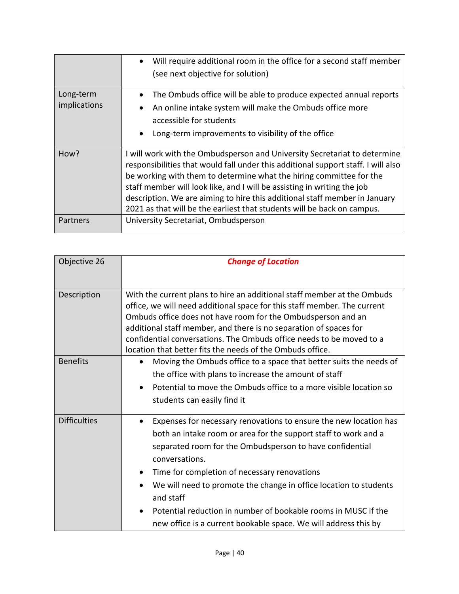|                           | Will require additional room in the office for a second staff member<br>$\bullet$<br>(see next objective for solution)                                                                                                                                                                                                                                                                                                                                                    |
|---------------------------|---------------------------------------------------------------------------------------------------------------------------------------------------------------------------------------------------------------------------------------------------------------------------------------------------------------------------------------------------------------------------------------------------------------------------------------------------------------------------|
| Long-term<br>implications | The Ombuds office will be able to produce expected annual reports<br>An online intake system will make the Ombuds office more<br>$\bullet$<br>accessible for students<br>Long-term improvements to visibility of the office<br>$\bullet$                                                                                                                                                                                                                                  |
| How?                      | I will work with the Ombudsperson and University Secretariat to determine<br>responsibilities that would fall under this additional support staff. I will also<br>be working with them to determine what the hiring committee for the<br>staff member will look like, and I will be assisting in writing the job<br>description. We are aiming to hire this additional staff member in January<br>2021 as that will be the earliest that students will be back on campus. |
| Partners                  | University Secretariat, Ombudsperson                                                                                                                                                                                                                                                                                                                                                                                                                                      |

| Objective 26        | <b>Change of Location</b>                                                                                                                                                                                                                                                                                                                                                                                                                                                                              |
|---------------------|--------------------------------------------------------------------------------------------------------------------------------------------------------------------------------------------------------------------------------------------------------------------------------------------------------------------------------------------------------------------------------------------------------------------------------------------------------------------------------------------------------|
|                     |                                                                                                                                                                                                                                                                                                                                                                                                                                                                                                        |
| Description         | With the current plans to hire an additional staff member at the Ombuds<br>office, we will need additional space for this staff member. The current<br>Ombuds office does not have room for the Ombudsperson and an<br>additional staff member, and there is no separation of spaces for<br>confidential conversations. The Ombuds office needs to be moved to a<br>location that better fits the needs of the Ombuds office.                                                                          |
| <b>Benefits</b>     | Moving the Ombuds office to a space that better suits the needs of<br>the office with plans to increase the amount of staff<br>Potential to move the Ombuds office to a more visible location so<br>$\bullet$<br>students can easily find it                                                                                                                                                                                                                                                           |
| <b>Difficulties</b> | Expenses for necessary renovations to ensure the new location has<br>both an intake room or area for the support staff to work and a<br>separated room for the Ombudsperson to have confidential<br>conversations.<br>Time for completion of necessary renovations<br>We will need to promote the change in office location to students<br>and staff<br>Potential reduction in number of bookable rooms in MUSC if the<br>$\bullet$<br>new office is a current bookable space. We will address this by |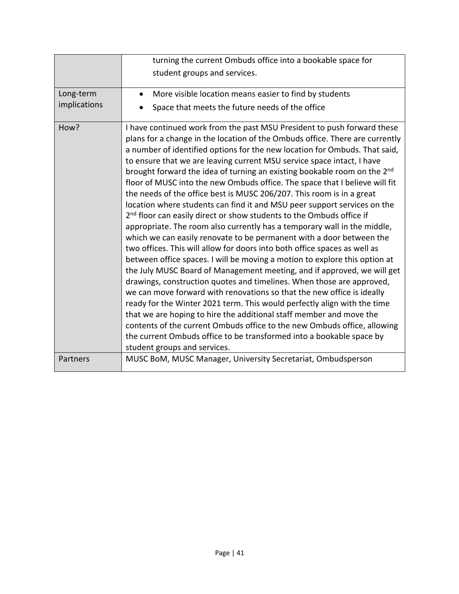|                           | turning the current Ombuds office into a bookable space for<br>student groups and services.                                                                                                                                                                                                                                                                                                                                                                                                                                                                                                                                                                                                                                                                                                                                                                                                                                                                                                                                                                                                                                                                                                                                                                                                                                                                                                                                                                                                                                                                                                                         |
|---------------------------|---------------------------------------------------------------------------------------------------------------------------------------------------------------------------------------------------------------------------------------------------------------------------------------------------------------------------------------------------------------------------------------------------------------------------------------------------------------------------------------------------------------------------------------------------------------------------------------------------------------------------------------------------------------------------------------------------------------------------------------------------------------------------------------------------------------------------------------------------------------------------------------------------------------------------------------------------------------------------------------------------------------------------------------------------------------------------------------------------------------------------------------------------------------------------------------------------------------------------------------------------------------------------------------------------------------------------------------------------------------------------------------------------------------------------------------------------------------------------------------------------------------------------------------------------------------------------------------------------------------------|
| Long-term<br>implications | More visible location means easier to find by students<br>$\bullet$<br>Space that meets the future needs of the office                                                                                                                                                                                                                                                                                                                                                                                                                                                                                                                                                                                                                                                                                                                                                                                                                                                                                                                                                                                                                                                                                                                                                                                                                                                                                                                                                                                                                                                                                              |
| How?                      | I have continued work from the past MSU President to push forward these<br>plans for a change in the location of the Ombuds office. There are currently<br>a number of identified options for the new location for Ombuds. That said,<br>to ensure that we are leaving current MSU service space intact, I have<br>brought forward the idea of turning an existing bookable room on the 2 <sup>nd</sup><br>floor of MUSC into the new Ombuds office. The space that I believe will fit<br>the needs of the office best is MUSC 206/207. This room is in a great<br>location where students can find it and MSU peer support services on the<br>2 <sup>nd</sup> floor can easily direct or show students to the Ombuds office if<br>appropriate. The room also currently has a temporary wall in the middle,<br>which we can easily renovate to be permanent with a door between the<br>two offices. This will allow for doors into both office spaces as well as<br>between office spaces. I will be moving a motion to explore this option at<br>the July MUSC Board of Management meeting, and if approved, we will get<br>drawings, construction quotes and timelines. When those are approved,<br>we can move forward with renovations so that the new office is ideally<br>ready for the Winter 2021 term. This would perfectly align with the time<br>that we are hoping to hire the additional staff member and move the<br>contents of the current Ombuds office to the new Ombuds office, allowing<br>the current Ombuds office to be transformed into a bookable space by<br>student groups and services. |
| Partners                  | MUSC BoM, MUSC Manager, University Secretariat, Ombudsperson                                                                                                                                                                                                                                                                                                                                                                                                                                                                                                                                                                                                                                                                                                                                                                                                                                                                                                                                                                                                                                                                                                                                                                                                                                                                                                                                                                                                                                                                                                                                                        |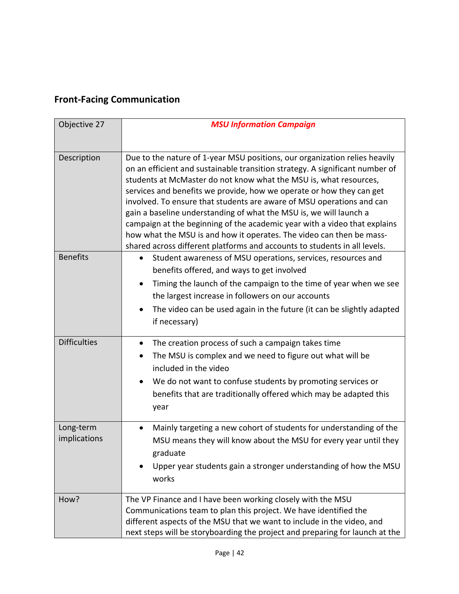## **Front-Facing Communication**

| Objective 27              | <b>MSU Information Campaign</b>                                                                                                                                                                                                                                                                                                                                                                                                                                                                                                                                                                                                                                                          |
|---------------------------|------------------------------------------------------------------------------------------------------------------------------------------------------------------------------------------------------------------------------------------------------------------------------------------------------------------------------------------------------------------------------------------------------------------------------------------------------------------------------------------------------------------------------------------------------------------------------------------------------------------------------------------------------------------------------------------|
|                           |                                                                                                                                                                                                                                                                                                                                                                                                                                                                                                                                                                                                                                                                                          |
| Description               | Due to the nature of 1-year MSU positions, our organization relies heavily<br>on an efficient and sustainable transition strategy. A significant number of<br>students at McMaster do not know what the MSU is, what resources,<br>services and benefits we provide, how we operate or how they can get<br>involved. To ensure that students are aware of MSU operations and can<br>gain a baseline understanding of what the MSU is, we will launch a<br>campaign at the beginning of the academic year with a video that explains<br>how what the MSU is and how it operates. The video can then be mass-<br>shared across different platforms and accounts to students in all levels. |
| <b>Benefits</b>           | Student awareness of MSU operations, services, resources and<br>$\bullet$<br>benefits offered, and ways to get involved<br>Timing the launch of the campaign to the time of year when we see<br>the largest increase in followers on our accounts<br>The video can be used again in the future (it can be slightly adapted<br>if necessary)                                                                                                                                                                                                                                                                                                                                              |
| <b>Difficulties</b>       | The creation process of such a campaign takes time<br>$\bullet$<br>The MSU is complex and we need to figure out what will be<br>included in the video<br>We do not want to confuse students by promoting services or<br>٠<br>benefits that are traditionally offered which may be adapted this<br>year                                                                                                                                                                                                                                                                                                                                                                                   |
| Long-term<br>implications | Mainly targeting a new cohort of students for understanding of the<br>$\bullet$<br>MSU means they will know about the MSU for every year until they<br>graduate<br>Upper year students gain a stronger understanding of how the MSU<br>works                                                                                                                                                                                                                                                                                                                                                                                                                                             |
| How?                      | The VP Finance and I have been working closely with the MSU<br>Communications team to plan this project. We have identified the<br>different aspects of the MSU that we want to include in the video, and<br>next steps will be storyboarding the project and preparing for launch at the                                                                                                                                                                                                                                                                                                                                                                                                |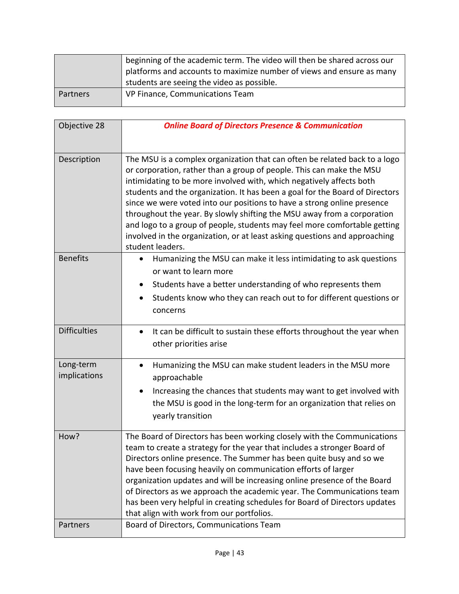|          | beginning of the academic term. The video will then be shared across our<br>platforms and accounts to maximize number of views and ensure as many<br>students are seeing the video as possible. |
|----------|-------------------------------------------------------------------------------------------------------------------------------------------------------------------------------------------------|
| Partners | VP Finance, Communications Team                                                                                                                                                                 |

| Objective 28              | <b>Online Board of Directors Presence &amp; Communication</b>                                                                                                                                                                                                                                                                                                                                                                                                                                                                                                                                                                                   |
|---------------------------|-------------------------------------------------------------------------------------------------------------------------------------------------------------------------------------------------------------------------------------------------------------------------------------------------------------------------------------------------------------------------------------------------------------------------------------------------------------------------------------------------------------------------------------------------------------------------------------------------------------------------------------------------|
| Description               | The MSU is a complex organization that can often be related back to a logo<br>or corporation, rather than a group of people. This can make the MSU<br>intimidating to be more involved with, which negatively affects both<br>students and the organization. It has been a goal for the Board of Directors<br>since we were voted into our positions to have a strong online presence<br>throughout the year. By slowly shifting the MSU away from a corporation<br>and logo to a group of people, students may feel more comfortable getting<br>involved in the organization, or at least asking questions and approaching<br>student leaders. |
| <b>Benefits</b>           | Humanizing the MSU can make it less intimidating to ask questions<br>or want to learn more<br>Students have a better understanding of who represents them<br>Students know who they can reach out to for different questions or<br>concerns                                                                                                                                                                                                                                                                                                                                                                                                     |
| <b>Difficulties</b>       | It can be difficult to sustain these efforts throughout the year when<br>$\bullet$<br>other priorities arise                                                                                                                                                                                                                                                                                                                                                                                                                                                                                                                                    |
| Long-term<br>implications | Humanizing the MSU can make student leaders in the MSU more<br>$\bullet$<br>approachable<br>Increasing the chances that students may want to get involved with<br>$\bullet$<br>the MSU is good in the long-term for an organization that relies on<br>yearly transition                                                                                                                                                                                                                                                                                                                                                                         |
| How?                      | The Board of Directors has been working closely with the Communications<br>team to create a strategy for the year that includes a stronger Board of<br>Directors online presence. The Summer has been quite busy and so we<br>have been focusing heavily on communication efforts of larger<br>organization updates and will be increasing online presence of the Board<br>of Directors as we approach the academic year. The Communications team<br>has been very helpful in creating schedules for Board of Directors updates<br>that align with work from our portfolios.                                                                    |
| Partners                  | Board of Directors, Communications Team                                                                                                                                                                                                                                                                                                                                                                                                                                                                                                                                                                                                         |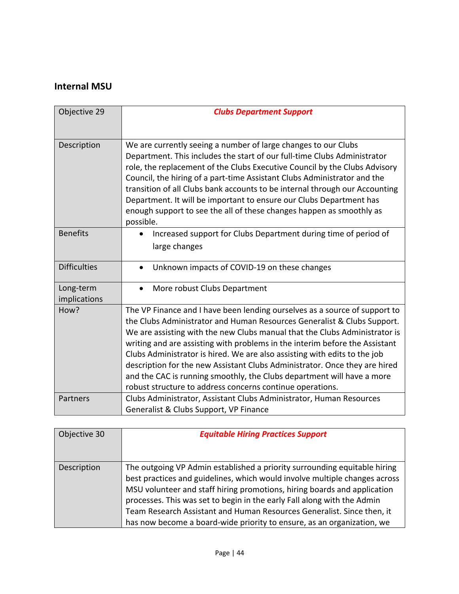#### **Internal MSU**

| Objective 29              | <b>Clubs Department Support</b>                                                                                                                                                                                                                                                                                                                                                                                                                                                                                                                                                                                      |
|---------------------------|----------------------------------------------------------------------------------------------------------------------------------------------------------------------------------------------------------------------------------------------------------------------------------------------------------------------------------------------------------------------------------------------------------------------------------------------------------------------------------------------------------------------------------------------------------------------------------------------------------------------|
| Description               | We are currently seeing a number of large changes to our Clubs<br>Department. This includes the start of our full-time Clubs Administrator<br>role, the replacement of the Clubs Executive Council by the Clubs Advisory<br>Council, the hiring of a part-time Assistant Clubs Administrator and the<br>transition of all Clubs bank accounts to be internal through our Accounting<br>Department. It will be important to ensure our Clubs Department has<br>enough support to see the all of these changes happen as smoothly as<br>possible.                                                                      |
| <b>Benefits</b>           | Increased support for Clubs Department during time of period of<br>large changes                                                                                                                                                                                                                                                                                                                                                                                                                                                                                                                                     |
| <b>Difficulties</b>       | Unknown impacts of COVID-19 on these changes<br>$\bullet$                                                                                                                                                                                                                                                                                                                                                                                                                                                                                                                                                            |
| Long-term<br>implications | More robust Clubs Department<br>$\bullet$                                                                                                                                                                                                                                                                                                                                                                                                                                                                                                                                                                            |
| How?                      | The VP Finance and I have been lending ourselves as a source of support to<br>the Clubs Administrator and Human Resources Generalist & Clubs Support.<br>We are assisting with the new Clubs manual that the Clubs Administrator is<br>writing and are assisting with problems in the interim before the Assistant<br>Clubs Administrator is hired. We are also assisting with edits to the job<br>description for the new Assistant Clubs Administrator. Once they are hired<br>and the CAC is running smoothly, the Clubs department will have a more<br>robust structure to address concerns continue operations. |
| Partners                  | Clubs Administrator, Assistant Clubs Administrator, Human Resources<br>Generalist & Clubs Support, VP Finance                                                                                                                                                                                                                                                                                                                                                                                                                                                                                                        |

| Objective 30 | <b>Equitable Hiring Practices Support</b>                                  |
|--------------|----------------------------------------------------------------------------|
|              |                                                                            |
| Description  | The outgoing VP Admin established a priority surrounding equitable hiring  |
|              | best practices and guidelines, which would involve multiple changes across |
|              | MSU volunteer and staff hiring promotions, hiring boards and application   |
|              | processes. This was set to begin in the early Fall along with the Admin    |
|              | Team Research Assistant and Human Resources Generalist. Since then, it     |
|              | has now become a board-wide priority to ensure, as an organization, we     |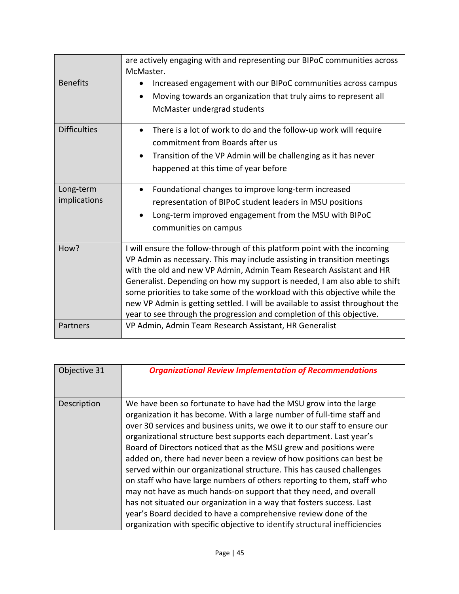|                           | are actively engaging with and representing our BIPoC communities across<br>McMaster.                                                                                                                                                                                                                                                                                                                                                                                                                                                              |
|---------------------------|----------------------------------------------------------------------------------------------------------------------------------------------------------------------------------------------------------------------------------------------------------------------------------------------------------------------------------------------------------------------------------------------------------------------------------------------------------------------------------------------------------------------------------------------------|
| <b>Benefits</b>           | Increased engagement with our BIPoC communities across campus<br>٠<br>Moving towards an organization that truly aims to represent all<br>McMaster undergrad students                                                                                                                                                                                                                                                                                                                                                                               |
| <b>Difficulties</b>       | There is a lot of work to do and the follow-up work will require<br>$\bullet$<br>commitment from Boards after us<br>Transition of the VP Admin will be challenging as it has never<br>happened at this time of year before                                                                                                                                                                                                                                                                                                                         |
| Long-term<br>implications | Foundational changes to improve long-term increased<br>٠<br>representation of BIPoC student leaders in MSU positions<br>Long-term improved engagement from the MSU with BIPoC<br>$\bullet$<br>communities on campus                                                                                                                                                                                                                                                                                                                                |
| How?                      | I will ensure the follow-through of this platform point with the incoming<br>VP Admin as necessary. This may include assisting in transition meetings<br>with the old and new VP Admin, Admin Team Research Assistant and HR<br>Generalist. Depending on how my support is needed, I am also able to shift<br>some priorities to take some of the workload with this objective while the<br>new VP Admin is getting settled. I will be available to assist throughout the<br>year to see through the progression and completion of this objective. |
| Partners                  | VP Admin, Admin Team Research Assistant, HR Generalist                                                                                                                                                                                                                                                                                                                                                                                                                                                                                             |

| Objective 31 | <b>Organizational Review Implementation of Recommendations</b>                                                                                                                                                                                                                                                                                                                                                                                                                                                                                                                                                                                                                                                                                                                                                                                                                                   |
|--------------|--------------------------------------------------------------------------------------------------------------------------------------------------------------------------------------------------------------------------------------------------------------------------------------------------------------------------------------------------------------------------------------------------------------------------------------------------------------------------------------------------------------------------------------------------------------------------------------------------------------------------------------------------------------------------------------------------------------------------------------------------------------------------------------------------------------------------------------------------------------------------------------------------|
| Description  | We have been so fortunate to have had the MSU grow into the large<br>organization it has become. With a large number of full-time staff and<br>over 30 services and business units, we owe it to our staff to ensure our<br>organizational structure best supports each department. Last year's<br>Board of Directors noticed that as the MSU grew and positions were<br>added on, there had never been a review of how positions can best be<br>served within our organizational structure. This has caused challenges<br>on staff who have large numbers of others reporting to them, staff who<br>may not have as much hands-on support that they need, and overall<br>has not situated our organization in a way that fosters success. Last<br>year's Board decided to have a comprehensive review done of the<br>organization with specific objective to identify structural inefficiencies |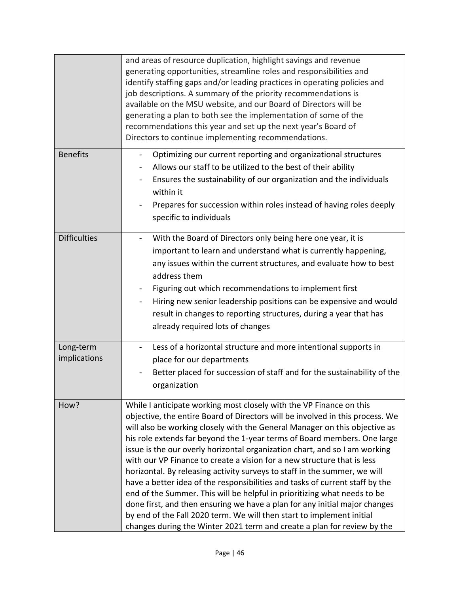|                           | and areas of resource duplication, highlight savings and revenue<br>generating opportunities, streamline roles and responsibilities and<br>identify staffing gaps and/or leading practices in operating policies and<br>job descriptions. A summary of the priority recommendations is<br>available on the MSU website, and our Board of Directors will be<br>generating a plan to both see the implementation of some of the<br>recommendations this year and set up the next year's Board of<br>Directors to continue implementing recommendations.                                                                                                                                                                                                                                                                                                                                                                                              |
|---------------------------|----------------------------------------------------------------------------------------------------------------------------------------------------------------------------------------------------------------------------------------------------------------------------------------------------------------------------------------------------------------------------------------------------------------------------------------------------------------------------------------------------------------------------------------------------------------------------------------------------------------------------------------------------------------------------------------------------------------------------------------------------------------------------------------------------------------------------------------------------------------------------------------------------------------------------------------------------|
| <b>Benefits</b>           | Optimizing our current reporting and organizational structures<br>$\qquad \qquad \blacksquare$<br>Allows our staff to be utilized to the best of their ability<br>Ensures the sustainability of our organization and the individuals<br>within it<br>Prepares for succession within roles instead of having roles deeply<br>specific to individuals                                                                                                                                                                                                                                                                                                                                                                                                                                                                                                                                                                                                |
| <b>Difficulties</b>       | With the Board of Directors only being here one year, it is<br>important to learn and understand what is currently happening,<br>any issues within the current structures, and evaluate how to best<br>address them<br>Figuring out which recommendations to implement first<br>Hiring new senior leadership positions can be expensive and would<br>result in changes to reporting structures, during a year that has<br>already required lots of changes                                                                                                                                                                                                                                                                                                                                                                                                                                                                                         |
| Long-term<br>implications | Less of a horizontal structure and more intentional supports in<br>place for our departments<br>Better placed for succession of staff and for the sustainability of the<br>organization                                                                                                                                                                                                                                                                                                                                                                                                                                                                                                                                                                                                                                                                                                                                                            |
| How?                      | While I anticipate working most closely with the VP Finance on this<br>objective, the entire Board of Directors will be involved in this process. We<br>will also be working closely with the General Manager on this objective as<br>his role extends far beyond the 1-year terms of Board members. One large<br>issue is the our overly horizontal organization chart, and so I am working<br>with our VP Finance to create a vision for a new structure that is less<br>horizontal. By releasing activity surveys to staff in the summer, we will<br>have a better idea of the responsibilities and tasks of current staff by the<br>end of the Summer. This will be helpful in prioritizing what needs to be<br>done first, and then ensuring we have a plan for any initial major changes<br>by end of the Fall 2020 term. We will then start to implement initial<br>changes during the Winter 2021 term and create a plan for review by the |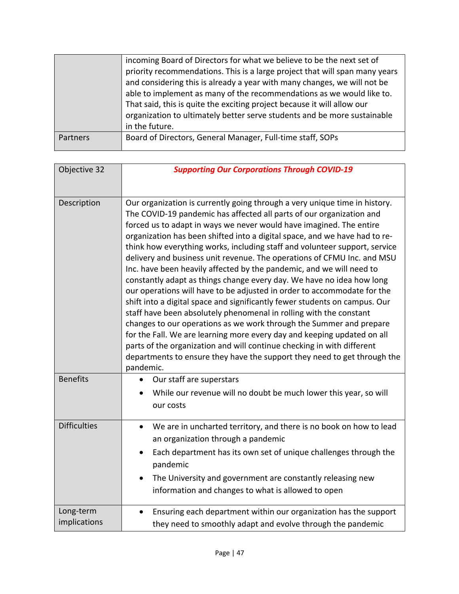|          | incoming Board of Directors for what we believe to be the next set of<br>priority recommendations. This is a large project that will span many years<br>and considering this is already a year with many changes, we will not be<br>able to implement as many of the recommendations as we would like to.<br>That said, this is quite the exciting project because it will allow our<br>organization to ultimately better serve students and be more sustainable<br>in the future. |
|----------|------------------------------------------------------------------------------------------------------------------------------------------------------------------------------------------------------------------------------------------------------------------------------------------------------------------------------------------------------------------------------------------------------------------------------------------------------------------------------------|
| Partners | Board of Directors, General Manager, Full-time staff, SOPs                                                                                                                                                                                                                                                                                                                                                                                                                         |

| Objective 32              | <b>Supporting Our Corporations Through COVID-19</b>                                                                                                                                                                                                                                                                                                                                                                                                                                                                                                                                                                                                                                                                                                                                                                                                                                                                                                                                                                                                                                                                                                                   |
|---------------------------|-----------------------------------------------------------------------------------------------------------------------------------------------------------------------------------------------------------------------------------------------------------------------------------------------------------------------------------------------------------------------------------------------------------------------------------------------------------------------------------------------------------------------------------------------------------------------------------------------------------------------------------------------------------------------------------------------------------------------------------------------------------------------------------------------------------------------------------------------------------------------------------------------------------------------------------------------------------------------------------------------------------------------------------------------------------------------------------------------------------------------------------------------------------------------|
| Description               | Our organization is currently going through a very unique time in history.<br>The COVID-19 pandemic has affected all parts of our organization and<br>forced us to adapt in ways we never would have imagined. The entire<br>organization has been shifted into a digital space, and we have had to re-<br>think how everything works, including staff and volunteer support, service<br>delivery and business unit revenue. The operations of CFMU Inc. and MSU<br>Inc. have been heavily affected by the pandemic, and we will need to<br>constantly adapt as things change every day. We have no idea how long<br>our operations will have to be adjusted in order to accommodate for the<br>shift into a digital space and significantly fewer students on campus. Our<br>staff have been absolutely phenomenal in rolling with the constant<br>changes to our operations as we work through the Summer and prepare<br>for the Fall. We are learning more every day and keeping updated on all<br>parts of the organization and will continue checking in with different<br>departments to ensure they have the support they need to get through the<br>pandemic. |
| <b>Benefits</b>           | Our staff are superstars<br>While our revenue will no doubt be much lower this year, so will<br>our costs                                                                                                                                                                                                                                                                                                                                                                                                                                                                                                                                                                                                                                                                                                                                                                                                                                                                                                                                                                                                                                                             |
| <b>Difficulties</b>       | We are in uncharted territory, and there is no book on how to lead<br>$\bullet$<br>an organization through a pandemic<br>Each department has its own set of unique challenges through the<br>pandemic<br>The University and government are constantly releasing new<br>information and changes to what is allowed to open                                                                                                                                                                                                                                                                                                                                                                                                                                                                                                                                                                                                                                                                                                                                                                                                                                             |
| Long-term<br>implications | Ensuring each department within our organization has the support<br>$\bullet$<br>they need to smoothly adapt and evolve through the pandemic                                                                                                                                                                                                                                                                                                                                                                                                                                                                                                                                                                                                                                                                                                                                                                                                                                                                                                                                                                                                                          |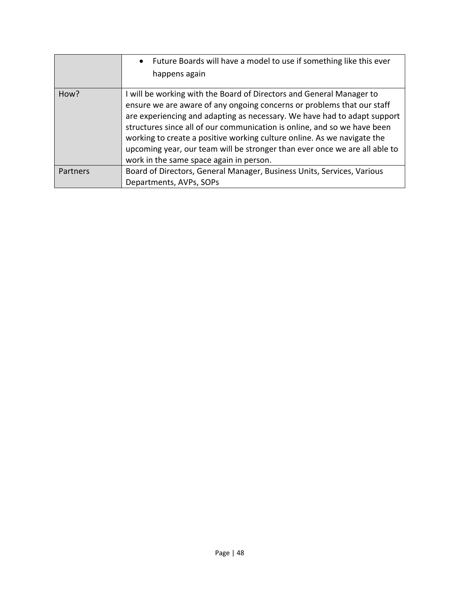|          | Future Boards will have a model to use if something like this ever<br>$\bullet$<br>happens again                                                                                                                                                                                                                                                                                                                                                                                                           |
|----------|------------------------------------------------------------------------------------------------------------------------------------------------------------------------------------------------------------------------------------------------------------------------------------------------------------------------------------------------------------------------------------------------------------------------------------------------------------------------------------------------------------|
| How?     | I will be working with the Board of Directors and General Manager to<br>ensure we are aware of any ongoing concerns or problems that our staff<br>are experiencing and adapting as necessary. We have had to adapt support<br>structures since all of our communication is online, and so we have been<br>working to create a positive working culture online. As we navigate the<br>upcoming year, our team will be stronger than ever once we are all able to<br>work in the same space again in person. |
| Partners | Board of Directors, General Manager, Business Units, Services, Various<br>Departments, AVPs, SOPs                                                                                                                                                                                                                                                                                                                                                                                                          |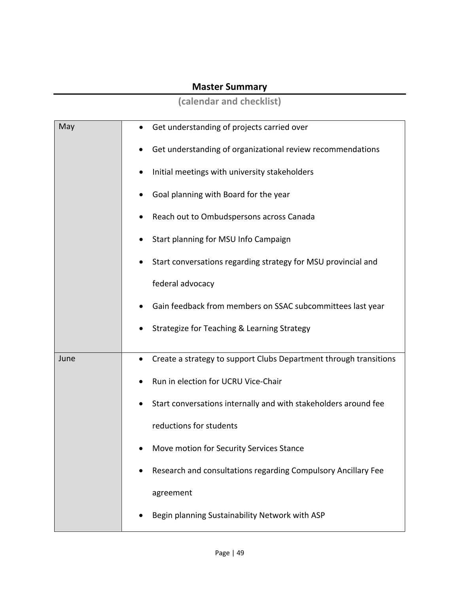#### **Master Summary**

**(calendar and checklist)**

| May  | Get understanding of projects carried over                        |
|------|-------------------------------------------------------------------|
|      | Get understanding of organizational review recommendations        |
|      | Initial meetings with university stakeholders                     |
|      | Goal planning with Board for the year                             |
|      | Reach out to Ombudspersons across Canada                          |
|      | Start planning for MSU Info Campaign                              |
|      | Start conversations regarding strategy for MSU provincial and     |
|      | federal advocacy                                                  |
|      | Gain feedback from members on SSAC subcommittees last year        |
|      | Strategize for Teaching & Learning Strategy                       |
| June | Create a strategy to support Clubs Department through transitions |
|      |                                                                   |
|      | Run in election for UCRU Vice-Chair                               |
|      | Start conversations internally and with stakeholders around fee   |
|      | reductions for students                                           |
|      | Move motion for Security Services Stance                          |
|      | Research and consultations regarding Compulsory Ancillary Fee     |
|      | agreement                                                         |
|      | Begin planning Sustainability Network with ASP                    |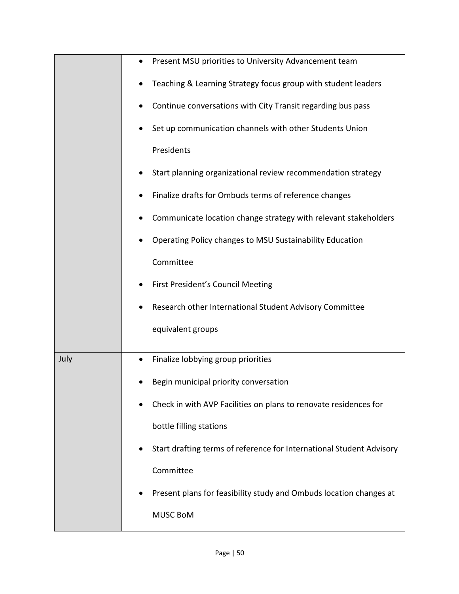|      | Present MSU priorities to University Advancement team                |
|------|----------------------------------------------------------------------|
|      | Teaching & Learning Strategy focus group with student leaders        |
|      | Continue conversations with City Transit regarding bus pass          |
|      | Set up communication channels with other Students Union              |
|      | Presidents                                                           |
|      | Start planning organizational review recommendation strategy         |
|      | Finalize drafts for Ombuds terms of reference changes                |
|      | Communicate location change strategy with relevant stakeholders      |
|      | Operating Policy changes to MSU Sustainability Education             |
|      | Committee                                                            |
|      | First President's Council Meeting                                    |
|      | Research other International Student Advisory Committee              |
|      | equivalent groups                                                    |
|      |                                                                      |
| July | Finalize lobbying group priorities                                   |
|      | Begin municipal priority conversation                                |
|      | Check in with AVP Facilities on plans to renovate residences for     |
|      | bottle filling stations                                              |
|      | Start drafting terms of reference for International Student Advisory |
|      | Committee                                                            |
|      | Present plans for feasibility study and Ombuds location changes at   |
|      | <b>MUSC BoM</b>                                                      |
|      |                                                                      |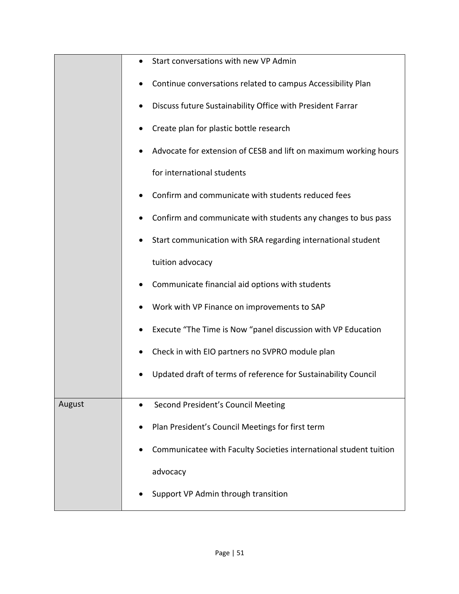|        | Start conversations with new VP Admin<br>$\bullet$                |
|--------|-------------------------------------------------------------------|
|        | Continue conversations related to campus Accessibility Plan       |
|        | Discuss future Sustainability Office with President Farrar        |
|        | Create plan for plastic bottle research                           |
|        | Advocate for extension of CESB and lift on maximum working hours  |
|        | for international students                                        |
|        | Confirm and communicate with students reduced fees                |
|        | Confirm and communicate with students any changes to bus pass     |
|        | Start communication with SRA regarding international student      |
|        | tuition advocacy                                                  |
|        | Communicate financial aid options with students                   |
|        | Work with VP Finance on improvements to SAP                       |
|        | Execute "The Time is Now "panel discussion with VP Education      |
|        | Check in with EIO partners no SVPRO module plan                   |
|        | Updated draft of terms of reference for Sustainability Council    |
|        |                                                                   |
| August | Second President's Council Meeting<br>$\bullet$                   |
|        | Plan President's Council Meetings for first term                  |
|        | Communicatee with Faculty Societies international student tuition |
|        | advocacy                                                          |
|        | Support VP Admin through transition                               |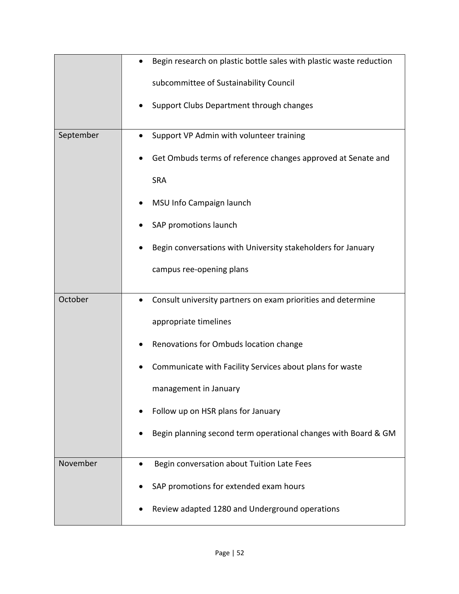|           | Begin research on plastic bottle sales with plastic waste reduction       |
|-----------|---------------------------------------------------------------------------|
|           | subcommittee of Sustainability Council                                    |
|           | Support Clubs Department through changes                                  |
| September | Support VP Admin with volunteer training<br>$\bullet$                     |
|           | Get Ombuds terms of reference changes approved at Senate and              |
|           | <b>SRA</b>                                                                |
|           | MSU Info Campaign launch                                                  |
|           | SAP promotions launch                                                     |
|           | Begin conversations with University stakeholders for January              |
|           | campus ree-opening plans                                                  |
| October   | Consult university partners on exam priorities and determine<br>$\bullet$ |
|           | appropriate timelines                                                     |
|           | Renovations for Ombuds location change                                    |
|           | Communicate with Facility Services about plans for waste                  |
|           | management in January                                                     |
|           | Follow up on HSR plans for January                                        |
|           | Begin planning second term operational changes with Board & GM            |
| November  | Begin conversation about Tuition Late Fees                                |
|           | SAP promotions for extended exam hours                                    |
|           |                                                                           |
|           | Review adapted 1280 and Underground operations                            |